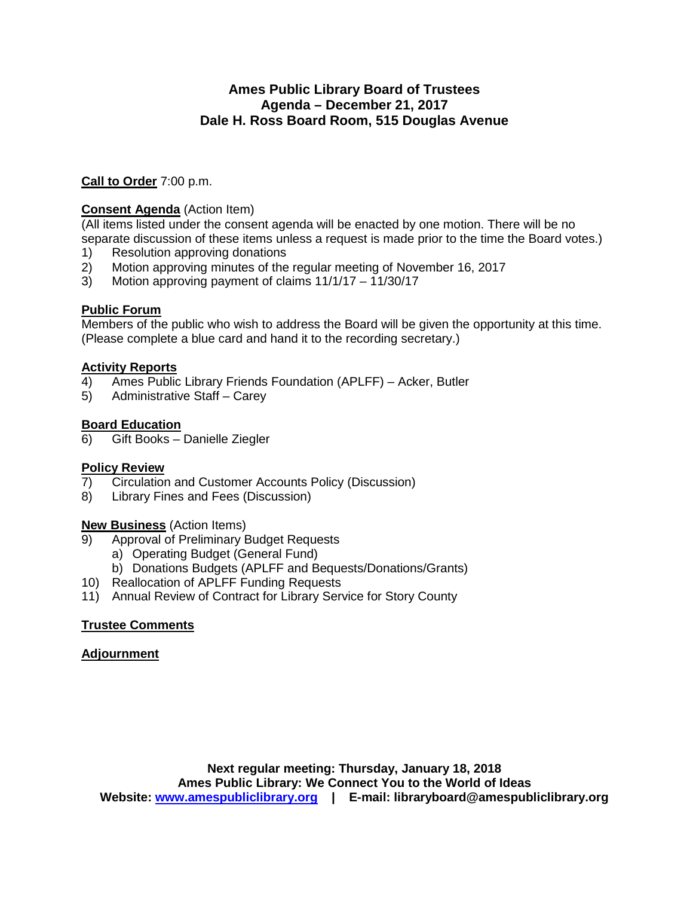### **Ames Public Library Board of Trustees Agenda – December 21, 2017 Dale H. Ross Board Room, 515 Douglas Avenue**

**Call to Order** 7:00 p.m.

#### **Consent Agenda** (Action Item)

(All items listed under the consent agenda will be enacted by one motion. There will be no separate discussion of these items unless a request is made prior to the time the Board votes.)

- 1) Resolution approving donations
- 2) Motion approving minutes of the regular meeting of November 16, 2017<br>3) Motion approving payment of claims  $11/1/17 11/30/17$
- 3) Motion approving payment of claims 11/1/17 11/30/17

#### **Public Forum**

Members of the public who wish to address the Board will be given the opportunity at this time. (Please complete a blue card and hand it to the recording secretary.)

#### **Activity Reports**

- 4) Ames Public Library Friends Foundation (APLFF) Acker, Butler
- 5) Administrative Staff Carey

#### **Board Education**

6) Gift Books – Danielle Ziegler

#### **Policy Review**

- 7) Circulation and Customer Accounts Policy (Discussion)
- 8) Library Fines and Fees (Discussion)

#### **New Business** (Action Items)

- 9) Approval of Preliminary Budget Requests
	- a) Operating Budget (General Fund)
	- b) Donations Budgets (APLFF and Bequests/Donations/Grants)
- 10) Reallocation of APLFF Funding Requests
- 11) Annual Review of Contract for Library Service for Story County

#### **Trustee Comments**

#### **Adjournment**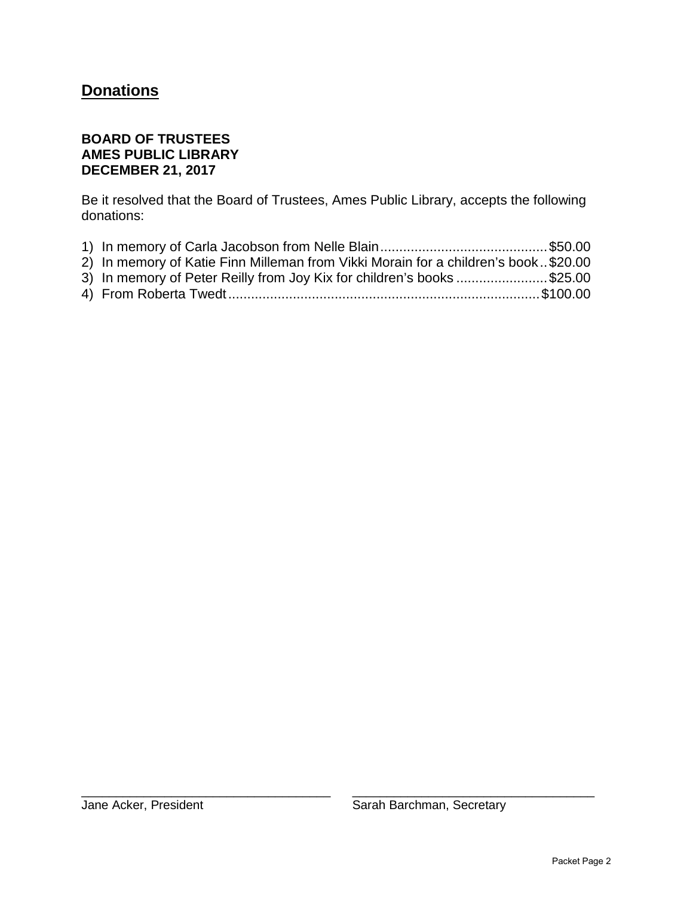# **Donations**

## **BOARD OF TRUSTEES AMES PUBLIC LIBRARY DECEMBER 21, 2017**

Be it resolved that the Board of Trustees, Ames Public Library, accepts the following donations:

| 2) In memory of Katie Finn Milleman from Vikki Morain for a children's book\$20.00 |  |
|------------------------------------------------------------------------------------|--|
| 3) In memory of Peter Reilly from Joy Kix for children's books \$25.00             |  |
|                                                                                    |  |

\_\_\_\_\_\_\_\_\_\_\_\_\_\_\_\_\_\_\_\_\_\_\_\_\_\_\_\_\_\_\_\_\_\_\_\_ \_\_\_\_\_\_\_\_\_\_\_\_\_\_\_\_\_\_\_\_\_\_\_\_\_\_\_\_\_\_\_\_\_\_\_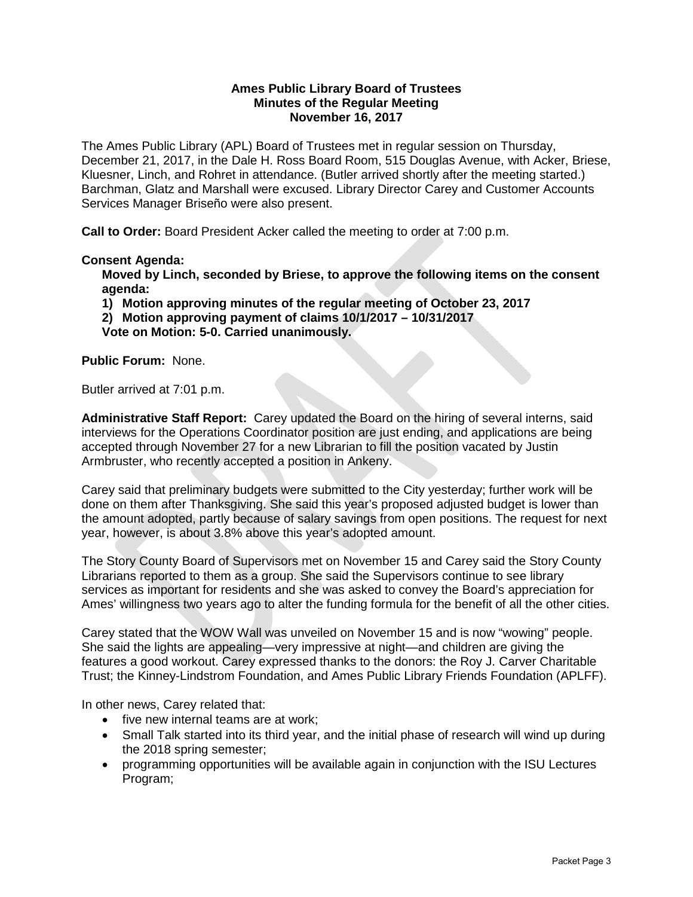#### **Ames Public Library Board of Trustees Minutes of the Regular Meeting November 16, 2017**

The Ames Public Library (APL) Board of Trustees met in regular session on Thursday, December 21, 2017, in the Dale H. Ross Board Room, 515 Douglas Avenue, with Acker, Briese, Kluesner, Linch, and Rohret in attendance. (Butler arrived shortly after the meeting started.) Barchman, Glatz and Marshall were excused. Library Director Carey and Customer Accounts Services Manager Briseño were also present.

**Call to Order:** Board President Acker called the meeting to order at 7:00 p.m.

#### **Consent Agenda:**

**Moved by Linch, seconded by Briese, to approve the following items on the consent agenda:**

**1) Motion approving minutes of the regular meeting of October 23, 2017**

**2) Motion approving payment of claims 10/1/2017 – 10/31/2017** 

**Vote on Motion: 5-0. Carried unanimously.**

**Public Forum:** None.

Butler arrived at 7:01 p.m.

**Administrative Staff Report:** Carey updated the Board on the hiring of several interns, said interviews for the Operations Coordinator position are just ending, and applications are being accepted through November 27 for a new Librarian to fill the position vacated by Justin Armbruster, who recently accepted a position in Ankeny.

Carey said that preliminary budgets were submitted to the City yesterday; further work will be done on them after Thanksgiving. She said this year's proposed adjusted budget is lower than the amount adopted, partly because of salary savings from open positions. The request for next year, however, is about 3.8% above this year's adopted amount.

The Story County Board of Supervisors met on November 15 and Carey said the Story County Librarians reported to them as a group. She said the Supervisors continue to see library services as important for residents and she was asked to convey the Board's appreciation for Ames' willingness two years ago to alter the funding formula for the benefit of all the other cities.

Carey stated that the WOW Wall was unveiled on November 15 and is now "wowing" people. She said the lights are appealing—very impressive at night—and children are giving the features a good workout. Carey expressed thanks to the donors: the Roy J. Carver Charitable Trust; the Kinney-Lindstrom Foundation, and Ames Public Library Friends Foundation (APLFF).

In other news, Carey related that:

- five new internal teams are at work:
- Small Talk started into its third year, and the initial phase of research will wind up during the 2018 spring semester;
- programming opportunities will be available again in conjunction with the ISU Lectures Program;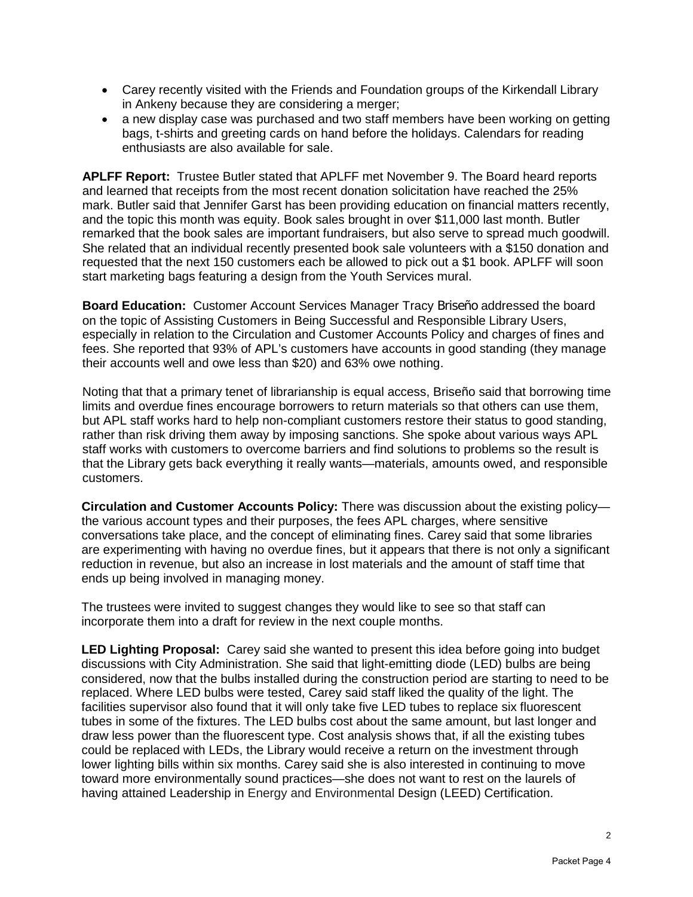- Carey recently visited with the Friends and Foundation groups of the Kirkendall Library in Ankeny because they are considering a merger;
- a new display case was purchased and two staff members have been working on getting bags, t-shirts and greeting cards on hand before the holidays. Calendars for reading enthusiasts are also available for sale.

**APLFF Report:** Trustee Butler stated that APLFF met November 9. The Board heard reports and learned that receipts from the most recent donation solicitation have reached the 25% mark. Butler said that Jennifer Garst has been providing education on financial matters recently, and the topic this month was equity. Book sales brought in over \$11,000 last month. Butler remarked that the book sales are important fundraisers, but also serve to spread much goodwill. She related that an individual recently presented book sale volunteers with a \$150 donation and requested that the next 150 customers each be allowed to pick out a \$1 book. APLFF will soon start marketing bags featuring a design from the Youth Services mural.

**Board Education:** Customer Account Services Manager Tracy Briseño addressed the board on the topic of Assisting Customers in Being Successful and Responsible Library Users, especially in relation to the Circulation and Customer Accounts Policy and charges of fines and fees. She reported that 93% of APL's customers have accounts in good standing (they manage their accounts well and owe less than \$20) and 63% owe nothing.

Noting that that a primary tenet of librarianship is equal access, Briseño said that borrowing time limits and overdue fines encourage borrowers to return materials so that others can use them, but APL staff works hard to help non-compliant customers restore their status to good standing, rather than risk driving them away by imposing sanctions. She spoke about various ways APL staff works with customers to overcome barriers and find solutions to problems so the result is that the Library gets back everything it really wants—materials, amounts owed, and responsible customers.

**Circulation and Customer Accounts Policy:** There was discussion about the existing policy the various account types and their purposes, the fees APL charges, where sensitive conversations take place, and the concept of eliminating fines. Carey said that some libraries are experimenting with having no overdue fines, but it appears that there is not only a significant reduction in revenue, but also an increase in lost materials and the amount of staff time that ends up being involved in managing money.

The trustees were invited to suggest changes they would like to see so that staff can incorporate them into a draft for review in the next couple months.

**LED Lighting Proposal:** Carey said she wanted to present this idea before going into budget discussions with City Administration. She said that light-emitting diode (LED) bulbs are being considered, now that the bulbs installed during the construction period are starting to need to be replaced. Where LED bulbs were tested, Carey said staff liked the quality of the light. The facilities supervisor also found that it will only take five LED tubes to replace six fluorescent tubes in some of the fixtures. The LED bulbs cost about the same amount, but last longer and draw less power than the fluorescent type. Cost analysis shows that, if all the existing tubes could be replaced with LEDs, the Library would receive a return on the investment through lower lighting bills within six months. Carey said she is also interested in continuing to move toward more environmentally sound practices—she does not want to rest on the laurels of having attained Leadership in Energy and Environmental Design (LEED) Certification.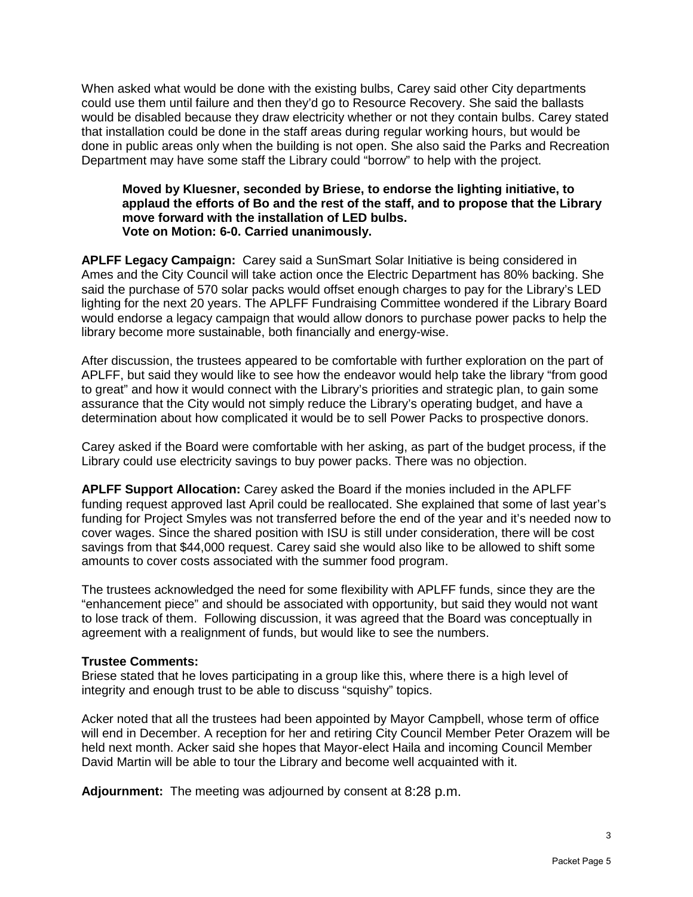When asked what would be done with the existing bulbs, Carey said other City departments could use them until failure and then they'd go to Resource Recovery. She said the ballasts would be disabled because they draw electricity whether or not they contain bulbs. Carey stated that installation could be done in the staff areas during regular working hours, but would be done in public areas only when the building is not open. She also said the Parks and Recreation Department may have some staff the Library could "borrow" to help with the project.

#### **Moved by Kluesner, seconded by Briese, to endorse the lighting initiative, to applaud the efforts of Bo and the rest of the staff, and to propose that the Library move forward with the installation of LED bulbs. Vote on Motion: 6-0. Carried unanimously.**

**APLFF Legacy Campaign:** Carey said a SunSmart Solar Initiative is being considered in Ames and the City Council will take action once the Electric Department has 80% backing. She said the purchase of 570 solar packs would offset enough charges to pay for the Library's LED lighting for the next 20 years. The APLFF Fundraising Committee wondered if the Library Board would endorse a legacy campaign that would allow donors to purchase power packs to help the library become more sustainable, both financially and energy-wise.

After discussion, the trustees appeared to be comfortable with further exploration on the part of APLFF, but said they would like to see how the endeavor would help take the library "from good to great" and how it would connect with the Library's priorities and strategic plan, to gain some assurance that the City would not simply reduce the Library's operating budget, and have a determination about how complicated it would be to sell Power Packs to prospective donors.

Carey asked if the Board were comfortable with her asking, as part of the budget process, if the Library could use electricity savings to buy power packs. There was no objection.

**APLFF Support Allocation:** Carey asked the Board if the monies included in the APLFF funding request approved last April could be reallocated. She explained that some of last year's funding for Project Smyles was not transferred before the end of the year and it's needed now to cover wages. Since the shared position with ISU is still under consideration, there will be cost savings from that \$44,000 request. Carey said she would also like to be allowed to shift some amounts to cover costs associated with the summer food program.

The trustees acknowledged the need for some flexibility with APLFF funds, since they are the "enhancement piece" and should be associated with opportunity, but said they would not want to lose track of them. Following discussion, it was agreed that the Board was conceptually in agreement with a realignment of funds, but would like to see the numbers.

#### **Trustee Comments:**

Briese stated that he loves participating in a group like this, where there is a high level of integrity and enough trust to be able to discuss "squishy" topics.

Acker noted that all the trustees had been appointed by Mayor Campbell, whose term of office will end in December. A reception for her and retiring City Council Member Peter Orazem will be held next month. Acker said she hopes that Mayor-elect Haila and incoming Council Member David Martin will be able to tour the Library and become well acquainted with it.

**Adjournment:** The meeting was adjourned by consent at 8:28 p.m.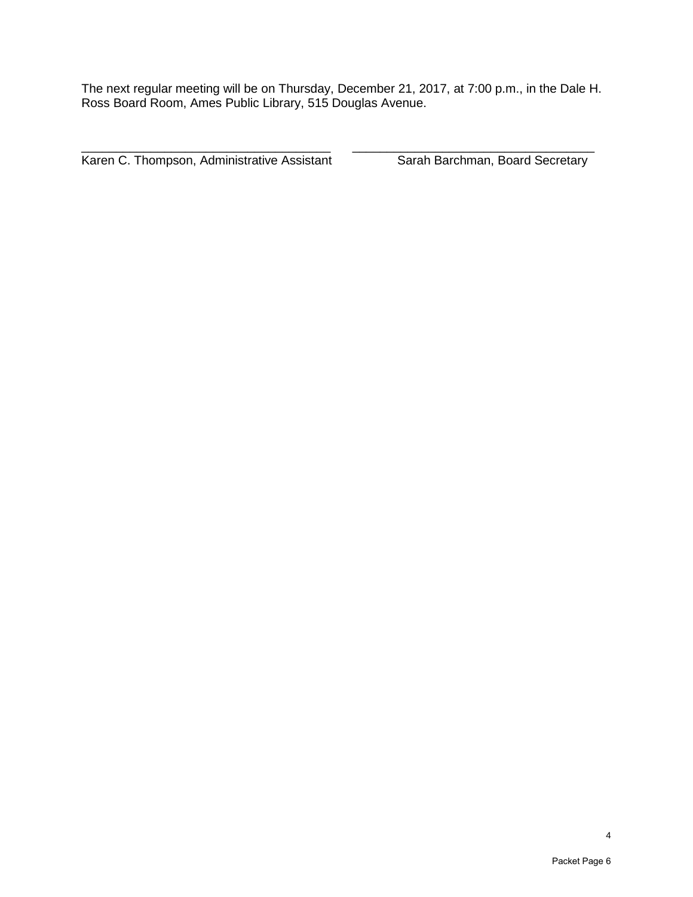The next regular meeting will be on Thursday, December 21, 2017, at 7:00 p.m., in the Dale H. Ross Board Room, Ames Public Library, 515 Douglas Avenue.

\_\_\_\_\_\_\_\_\_\_\_\_\_\_\_\_\_\_\_\_\_\_\_\_\_\_\_\_\_\_\_\_\_\_\_\_ \_\_\_\_\_\_\_\_\_\_\_\_\_\_\_\_\_\_\_\_\_\_\_\_\_\_\_\_\_\_\_\_\_\_\_ Karen C. Thompson, Administrative Assistant Sarah Barchman, Board Secretary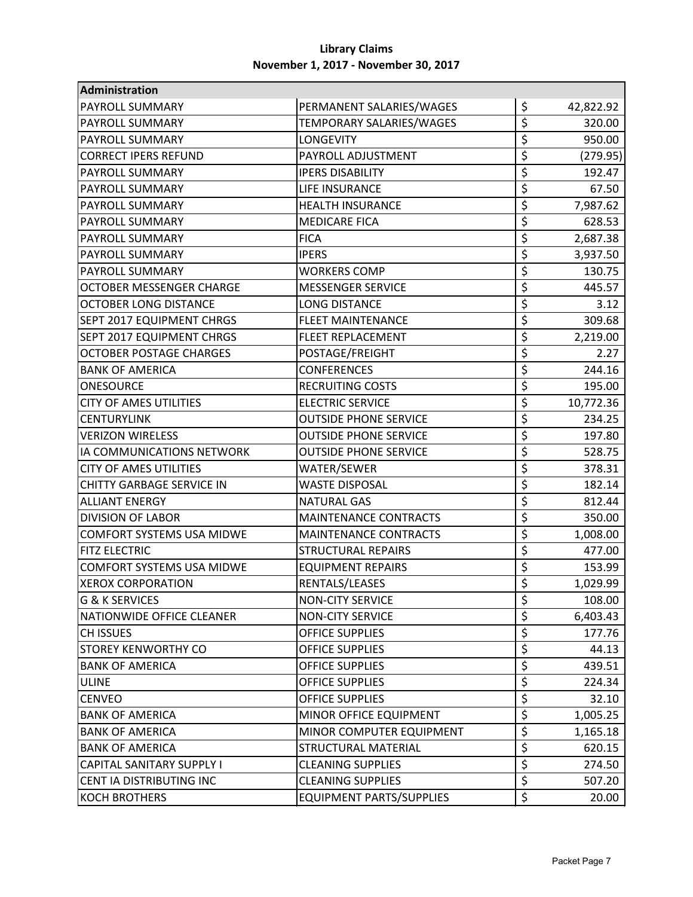| Administration                   |                                 |                  |           |
|----------------------------------|---------------------------------|------------------|-----------|
| <b>PAYROLL SUMMARY</b>           | PERMANENT SALARIES/WAGES        | \$               | 42,822.92 |
| <b>PAYROLL SUMMARY</b>           | TEMPORARY SALARIES/WAGES        | \$               | 320.00    |
| <b>PAYROLL SUMMARY</b>           | <b>LONGEVITY</b>                | \$               | 950.00    |
| <b>CORRECT IPERS REFUND</b>      | PAYROLL ADJUSTMENT              | \$               | (279.95)  |
| <b>PAYROLL SUMMARY</b>           | <b>IPERS DISABILITY</b>         | \$               | 192.47    |
| <b>PAYROLL SUMMARY</b>           | LIFE INSURANCE                  | \$               | 67.50     |
| <b>PAYROLL SUMMARY</b>           | <b>HEALTH INSURANCE</b>         | \$               | 7,987.62  |
| <b>PAYROLL SUMMARY</b>           | <b>MEDICARE FICA</b>            | \$               | 628.53    |
| <b>PAYROLL SUMMARY</b>           | <b>FICA</b>                     | \$               | 2,687.38  |
| <b>PAYROLL SUMMARY</b>           | <b>IPERS</b>                    | \$               | 3,937.50  |
| <b>PAYROLL SUMMARY</b>           | <b>WORKERS COMP</b>             | \$               | 130.75    |
| OCTOBER MESSENGER CHARGE         | <b>MESSENGER SERVICE</b>        | \$               | 445.57    |
| <b>OCTOBER LONG DISTANCE</b>     | <b>LONG DISTANCE</b>            | \$               | 3.12      |
| <b>SEPT 2017 EQUIPMENT CHRGS</b> | <b>FLEET MAINTENANCE</b>        | \$               | 309.68    |
| <b>SEPT 2017 EQUIPMENT CHRGS</b> | <b>FLEET REPLACEMENT</b>        | \$               | 2,219.00  |
| <b>OCTOBER POSTAGE CHARGES</b>   | POSTAGE/FREIGHT                 | \$               | 2.27      |
| <b>BANK OF AMERICA</b>           | <b>CONFERENCES</b>              | \$               | 244.16    |
| <b>ONESOURCE</b>                 | <b>RECRUITING COSTS</b>         | \$               | 195.00    |
| <b>CITY OF AMES UTILITIES</b>    | <b>ELECTRIC SERVICE</b>         | \$               | 10,772.36 |
| <b>CENTURYLINK</b>               | <b>OUTSIDE PHONE SERVICE</b>    | \$               | 234.25    |
| <b>VERIZON WIRELESS</b>          | <b>OUTSIDE PHONE SERVICE</b>    | \$               | 197.80    |
| IA COMMUNICATIONS NETWORK        | <b>OUTSIDE PHONE SERVICE</b>    | \$               | 528.75    |
| <b>CITY OF AMES UTILITIES</b>    | WATER/SEWER                     | \$               | 378.31    |
| <b>CHITTY GARBAGE SERVICE IN</b> | <b>WASTE DISPOSAL</b>           | \$               | 182.14    |
| <b>ALLIANT ENERGY</b>            | <b>NATURAL GAS</b>              | \$               | 812.44    |
| <b>DIVISION OF LABOR</b>         | <b>MAINTENANCE CONTRACTS</b>    | \$               | 350.00    |
| <b>COMFORT SYSTEMS USA MIDWE</b> | <b>MAINTENANCE CONTRACTS</b>    | \$               | 1,008.00  |
| <b>FITZ ELECTRIC</b>             | <b>STRUCTURAL REPAIRS</b>       | \$               | 477.00    |
| <b>COMFORT SYSTEMS USA MIDWE</b> | <b>EQUIPMENT REPAIRS</b>        | \$               | 153.99    |
| <b>XEROX CORPORATION</b>         | RENTALS/LEASES                  | \$               | 1,029.99  |
| <b>G &amp; K SERVICES</b>        | <b>NON-CITY SERVICE</b>         | \$               | 108.00    |
| NATIONWIDE OFFICE CLEANER        | <b>NON-CITY SERVICE</b>         | \$               | 6,403.43  |
| <b>CH ISSUES</b>                 | <b>OFFICE SUPPLIES</b>          | \$               | 177.76    |
| <b>STOREY KENWORTHY CO</b>       | <b>OFFICE SUPPLIES</b>          | \$               | 44.13     |
| <b>BANK OF AMERICA</b>           | <b>OFFICE SUPPLIES</b>          | \$               | 439.51    |
| <b>ULINE</b>                     | <b>OFFICE SUPPLIES</b>          | \$               | 224.34    |
| <b>CENVEO</b>                    | <b>OFFICE SUPPLIES</b>          | \$               | 32.10     |
| <b>BANK OF AMERICA</b>           | MINOR OFFICE EQUIPMENT          | \$               | 1,005.25  |
| <b>BANK OF AMERICA</b>           | MINOR COMPUTER EQUIPMENT        | \$               | 1,165.18  |
| <b>BANK OF AMERICA</b>           | <b>STRUCTURAL MATERIAL</b>      | \$               | 620.15    |
| <b>CAPITAL SANITARY SUPPLY I</b> | <b>CLEANING SUPPLIES</b>        | \$               | 274.50    |
| CENT IA DISTRIBUTING INC         | <b>CLEANING SUPPLIES</b>        | \$               | 507.20    |
| <b>KOCH BROTHERS</b>             | <b>EQUIPMENT PARTS/SUPPLIES</b> | $\overline{\xi}$ | 20.00     |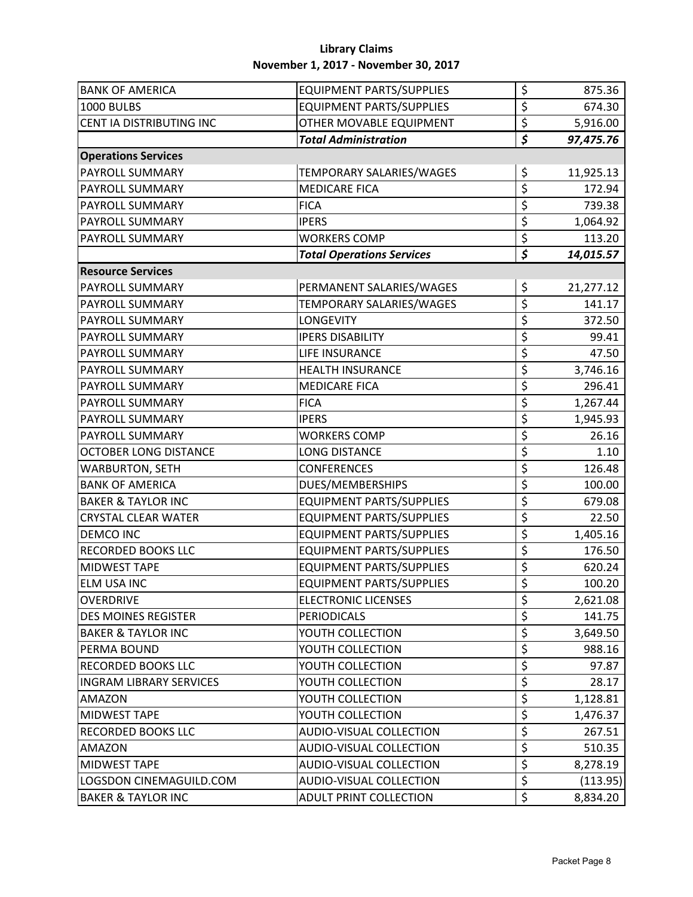| <b>BANK OF AMERICA</b>         | <b>EQUIPMENT PARTS/SUPPLIES</b>  | \$                              | 875.36    |
|--------------------------------|----------------------------------|---------------------------------|-----------|
| 1000 BULBS                     | <b>EQUIPMENT PARTS/SUPPLIES</b>  | \$                              | 674.30    |
| CENT IA DISTRIBUTING INC       | OTHER MOVABLE EQUIPMENT          | \$                              | 5,916.00  |
|                                | <b>Total Administration</b>      | \$                              | 97,475.76 |
| <b>Operations Services</b>     |                                  |                                 |           |
| PAYROLL SUMMARY                | TEMPORARY SALARIES/WAGES         | \$                              | 11,925.13 |
| PAYROLL SUMMARY                | <b>MEDICARE FICA</b>             | $\overline{\xi}$                | 172.94    |
| PAYROLL SUMMARY                | <b>FICA</b>                      | \$                              | 739.38    |
| PAYROLL SUMMARY                | <b>IPERS</b>                     | \$                              | 1,064.92  |
| PAYROLL SUMMARY                | <b>WORKERS COMP</b>              | \$                              | 113.20    |
|                                | <b>Total Operations Services</b> | $\overline{\boldsymbol{\zeta}}$ | 14,015.57 |
| <b>Resource Services</b>       |                                  |                                 |           |
| PAYROLL SUMMARY                | PERMANENT SALARIES/WAGES         | \$                              | 21,277.12 |
| PAYROLL SUMMARY                | TEMPORARY SALARIES/WAGES         | \$                              | 141.17    |
| PAYROLL SUMMARY                | <b>LONGEVITY</b>                 | \$                              | 372.50    |
| PAYROLL SUMMARY                | <b>IPERS DISABILITY</b>          | \$                              | 99.41     |
| PAYROLL SUMMARY                | LIFE INSURANCE                   | \$                              | 47.50     |
| PAYROLL SUMMARY                | <b>HEALTH INSURANCE</b>          | \$                              | 3,746.16  |
| PAYROLL SUMMARY                | <b>MEDICARE FICA</b>             | \$                              | 296.41    |
| PAYROLL SUMMARY                | <b>FICA</b>                      | \$                              | 1,267.44  |
| PAYROLL SUMMARY                | <b>IPERS</b>                     | \$                              | 1,945.93  |
| PAYROLL SUMMARY                | <b>WORKERS COMP</b>              | \$                              | 26.16     |
| <b>OCTOBER LONG DISTANCE</b>   | <b>LONG DISTANCE</b>             | \$                              | 1.10      |
| <b>WARBURTON, SETH</b>         | <b>CONFERENCES</b>               | \$                              | 126.48    |
| <b>BANK OF AMERICA</b>         | DUES/MEMBERSHIPS                 | \$                              | 100.00    |
| <b>BAKER &amp; TAYLOR INC</b>  | <b>EQUIPMENT PARTS/SUPPLIES</b>  | \$                              | 679.08    |
| <b>CRYSTAL CLEAR WATER</b>     | <b>EQUIPMENT PARTS/SUPPLIES</b>  | \$                              | 22.50     |
| <b>DEMCO INC</b>               | <b>EQUIPMENT PARTS/SUPPLIES</b>  | \$                              | 1,405.16  |
| RECORDED BOOKS LLC             | <b>EQUIPMENT PARTS/SUPPLIES</b>  | \$                              | 176.50    |
| <b>MIDWEST TAPE</b>            | <b>EQUIPMENT PARTS/SUPPLIES</b>  | \$                              | 620.24    |
| <b>ELM USA INC</b>             | <b>EQUIPMENT PARTS/SUPPLIES</b>  | $\mathsf{\dot{S}}$              | 100.20    |
| <b>OVERDRIVE</b>               | <b>ELECTRONIC LICENSES</b>       | \$                              | 2,621.08  |
| <b>DES MOINES REGISTER</b>     | <b>PERIODICALS</b>               | \$                              | 141.75    |
| <b>BAKER &amp; TAYLOR INC</b>  | YOUTH COLLECTION                 | \$                              | 3,649.50  |
| PERMA BOUND                    | YOUTH COLLECTION                 | \$                              | 988.16    |
| <b>RECORDED BOOKS LLC</b>      | YOUTH COLLECTION                 | \$                              | 97.87     |
| <b>INGRAM LIBRARY SERVICES</b> | YOUTH COLLECTION                 | \$                              | 28.17     |
| <b>AMAZON</b>                  | YOUTH COLLECTION                 | \$                              | 1,128.81  |
| <b>MIDWEST TAPE</b>            | YOUTH COLLECTION                 | \$                              | 1,476.37  |
| <b>RECORDED BOOKS LLC</b>      | AUDIO-VISUAL COLLECTION          | \$                              | 267.51    |
| <b>AMAZON</b>                  | AUDIO-VISUAL COLLECTION          | \$                              | 510.35    |
| <b>MIDWEST TAPE</b>            | AUDIO-VISUAL COLLECTION          | \$                              | 8,278.19  |
| LOGSDON CINEMAGUILD.COM        | AUDIO-VISUAL COLLECTION          | \$                              | (113.95)  |
| <b>BAKER &amp; TAYLOR INC</b>  | ADULT PRINT COLLECTION           | \$                              | 8,834.20  |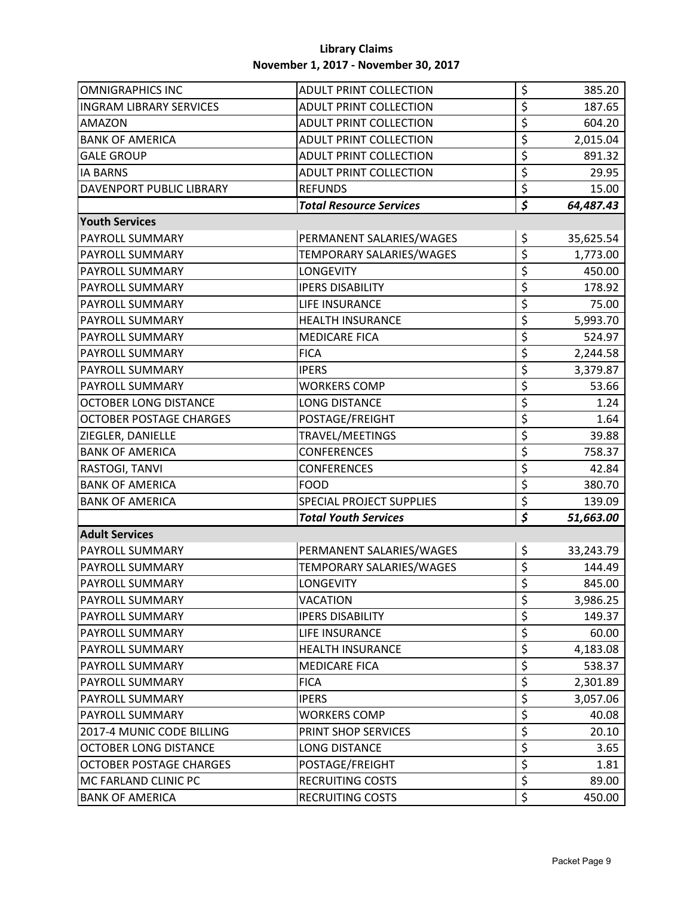| <b>OMNIGRAPHICS INC</b>        | <b>ADULT PRINT COLLECTION</b>   | \$                              | 385.20    |
|--------------------------------|---------------------------------|---------------------------------|-----------|
| <b>INGRAM LIBRARY SERVICES</b> | <b>ADULT PRINT COLLECTION</b>   | \$                              | 187.65    |
| <b>AMAZON</b>                  | <b>ADULT PRINT COLLECTION</b>   | \$                              | 604.20    |
| <b>BANK OF AMERICA</b>         | <b>ADULT PRINT COLLECTION</b>   | \$                              | 2,015.04  |
| <b>GALE GROUP</b>              | <b>ADULT PRINT COLLECTION</b>   | \$                              | 891.32    |
| <b>IA BARNS</b>                | <b>ADULT PRINT COLLECTION</b>   | \$                              | 29.95     |
| DAVENPORT PUBLIC LIBRARY       | <b>REFUNDS</b>                  | \$                              | 15.00     |
|                                | <b>Total Resource Services</b>  | $\overline{\boldsymbol{\zeta}}$ | 64,487.43 |
| <b>Youth Services</b>          |                                 |                                 |           |
| PAYROLL SUMMARY                | PERMANENT SALARIES/WAGES        | \$                              | 35,625.54 |
| PAYROLL SUMMARY                | TEMPORARY SALARIES/WAGES        | \$                              | 1,773.00  |
| PAYROLL SUMMARY                | <b>LONGEVITY</b>                | \$                              | 450.00    |
| PAYROLL SUMMARY                | <b>IPERS DISABILITY</b>         | \$                              | 178.92    |
| <b>PAYROLL SUMMARY</b>         | LIFE INSURANCE                  | \$                              | 75.00     |
| PAYROLL SUMMARY                | <b>HEALTH INSURANCE</b>         | \$                              | 5,993.70  |
| PAYROLL SUMMARY                | <b>MEDICARE FICA</b>            | \$                              | 524.97    |
| PAYROLL SUMMARY                | <b>FICA</b>                     | \$                              | 2,244.58  |
| PAYROLL SUMMARY                | <b>IPERS</b>                    | \$                              | 3,379.87  |
| PAYROLL SUMMARY                | <b>WORKERS COMP</b>             | \$                              | 53.66     |
| <b>OCTOBER LONG DISTANCE</b>   | <b>LONG DISTANCE</b>            | \$                              | 1.24      |
| <b>OCTOBER POSTAGE CHARGES</b> | POSTAGE/FREIGHT                 | \$                              | 1.64      |
| ZIEGLER, DANIELLE              | TRAVEL/MEETINGS                 | \$                              | 39.88     |
| <b>BANK OF AMERICA</b>         | <b>CONFERENCES</b>              | \$                              | 758.37    |
| RASTOGI, TANVI                 | <b>CONFERENCES</b>              | \$                              | 42.84     |
| <b>BANK OF AMERICA</b>         | <b>FOOD</b>                     | \$                              | 380.70    |
| <b>BANK OF AMERICA</b>         | <b>SPECIAL PROJECT SUPPLIES</b> | \$                              | 139.09    |
|                                | <b>Total Youth Services</b>     | $\overline{\boldsymbol{\zeta}}$ | 51,663.00 |
| <b>Adult Services</b>          |                                 |                                 |           |
| <b>PAYROLL SUMMARY</b>         | PERMANENT SALARIES/WAGES        | \$                              | 33,243.79 |
| PAYROLL SUMMARY                | TEMPORARY SALARIES/WAGES        | \$                              | 144.49    |
| PAYROLL SUMMARY                | LONGEVITY                       | $\overline{\mathsf{S}}$         | 845.00    |
| PAYROLL SUMMARY                | <b>VACATION</b>                 | \$                              | 3,986.25  |
| <b>PAYROLL SUMMARY</b>         | <b>IPERS DISABILITY</b>         | \$                              | 149.37    |
| <b>PAYROLL SUMMARY</b>         | LIFE INSURANCE                  | \$                              | 60.00     |
| PAYROLL SUMMARY                | <b>HEALTH INSURANCE</b>         | \$                              | 4,183.08  |
| PAYROLL SUMMARY                | <b>MEDICARE FICA</b>            | \$                              | 538.37    |
| PAYROLL SUMMARY                | <b>FICA</b>                     | \$                              | 2,301.89  |
| PAYROLL SUMMARY                | <b>IPERS</b>                    | \$                              | 3,057.06  |
| PAYROLL SUMMARY                | <b>WORKERS COMP</b>             | \$                              | 40.08     |
| 2017-4 MUNIC CODE BILLING      | PRINT SHOP SERVICES             | \$                              | 20.10     |
| <b>OCTOBER LONG DISTANCE</b>   | <b>LONG DISTANCE</b>            | \$                              | 3.65      |
| <b>OCTOBER POSTAGE CHARGES</b> | POSTAGE/FREIGHT                 | \$                              | 1.81      |
| MC FARLAND CLINIC PC           | <b>RECRUITING COSTS</b>         | \$                              | 89.00     |
| <b>BANK OF AMERICA</b>         | <b>RECRUITING COSTS</b>         | \$                              | 450.00    |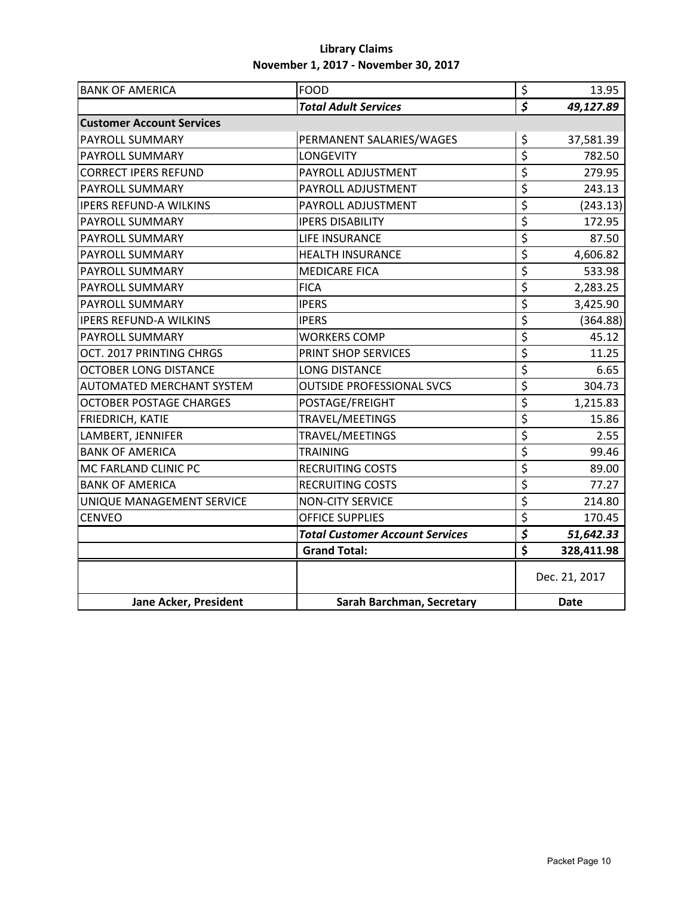| <b>BANK OF AMERICA</b>           | <b>FOOD</b>                            | $\overline{\xi}$                     | 13.95         |
|----------------------------------|----------------------------------------|--------------------------------------|---------------|
|                                  | <b>Total Adult Services</b>            | $\overline{\mathcal{S}}$             | 49,127.89     |
| <b>Customer Account Services</b> |                                        |                                      |               |
| PAYROLL SUMMARY                  | PERMANENT SALARIES/WAGES               | \$                                   | 37,581.39     |
| <b>PAYROLL SUMMARY</b>           | <b>LONGEVITY</b>                       | \$                                   | 782.50        |
| <b>CORRECT IPERS REFUND</b>      | PAYROLL ADJUSTMENT                     | \$                                   | 279.95        |
| <b>PAYROLL SUMMARY</b>           | PAYROLL ADJUSTMENT                     | \$                                   | 243.13        |
| <b>IPERS REFUND-A WILKINS</b>    | PAYROLL ADJUSTMENT                     | \$                                   | (243.13)      |
| PAYROLL SUMMARY                  | <b>IPERS DISABILITY</b>                | \$                                   | 172.95        |
| PAYROLL SUMMARY                  | LIFE INSURANCE                         | \$                                   | 87.50         |
| PAYROLL SUMMARY                  | <b>HEALTH INSURANCE</b>                | \$                                   | 4,606.82      |
| PAYROLL SUMMARY                  | <b>MEDICARE FICA</b>                   | \$                                   | 533.98        |
| PAYROLL SUMMARY                  | <b>FICA</b>                            | \$                                   | 2,283.25      |
| PAYROLL SUMMARY                  | <b>IPERS</b>                           | \$                                   | 3,425.90      |
| <b>IPERS REFUND-A WILKINS</b>    | <b>IPERS</b>                           | \$                                   | (364.88)      |
| PAYROLL SUMMARY                  | <b>WORKERS COMP</b>                    | \$                                   | 45.12         |
| OCT. 2017 PRINTING CHRGS         | PRINT SHOP SERVICES                    | $\overline{\boldsymbol{\mathsf{s}}}$ | 11.25         |
| <b>OCTOBER LONG DISTANCE</b>     | <b>LONG DISTANCE</b>                   | \$                                   | 6.65          |
| <b>AUTOMATED MERCHANT SYSTEM</b> | <b>OUTSIDE PROFESSIONAL SVCS</b>       | \$                                   | 304.73        |
| <b>OCTOBER POSTAGE CHARGES</b>   | POSTAGE/FREIGHT                        | \$                                   | 1,215.83      |
| FRIEDRICH, KATIE                 | TRAVEL/MEETINGS                        | \$                                   | 15.86         |
| LAMBERT, JENNIFER                | TRAVEL/MEETINGS                        | \$                                   | 2.55          |
| <b>BANK OF AMERICA</b>           | <b>TRAINING</b>                        | \$                                   | 99.46         |
| MC FARLAND CLINIC PC             | <b>RECRUITING COSTS</b>                | \$                                   | 89.00         |
| <b>BANK OF AMERICA</b>           | <b>RECRUITING COSTS</b>                | \$                                   | 77.27         |
| UNIQUE MANAGEMENT SERVICE        | <b>NON-CITY SERVICE</b>                | \$                                   | 214.80        |
| <b>CENVEO</b>                    | <b>OFFICE SUPPLIES</b>                 | \$                                   | 170.45        |
|                                  | <b>Total Customer Account Services</b> | $\overline{\mathcal{S}}$             | 51,642.33     |
|                                  | <b>Grand Total:</b>                    | $\overline{\boldsymbol{\zeta}}$      | 328,411.98    |
|                                  |                                        |                                      | Dec. 21, 2017 |
| Jane Acker, President            | Sarah Barchman, Secretary              |                                      | <b>Date</b>   |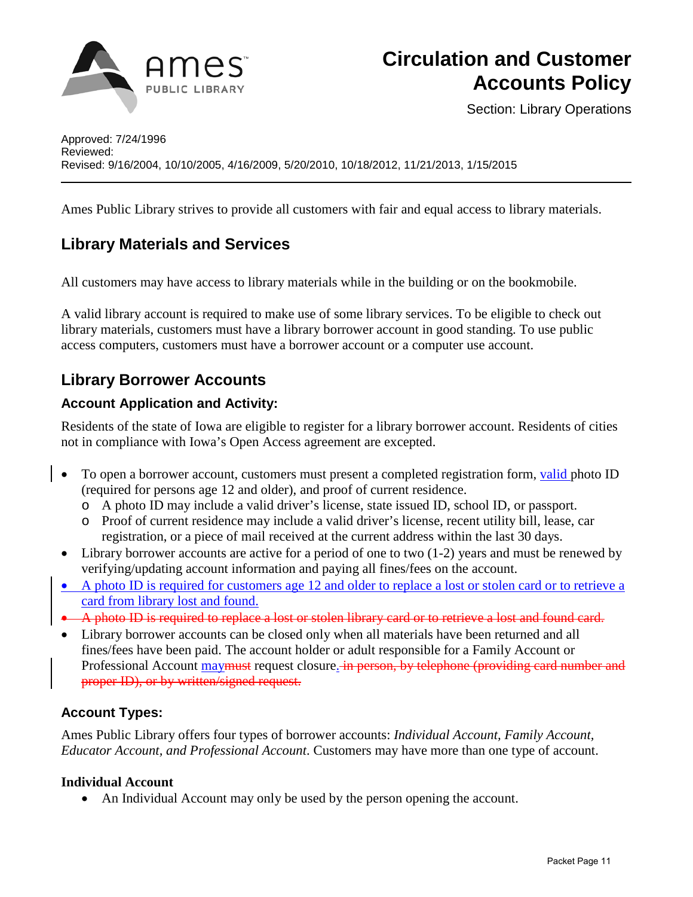

Section: Library Operations

Ames Public Library strives to provide all customers with fair and equal access to library materials.

# **Library Materials and Services**

All customers may have access to library materials while in the building or on the bookmobile.

A valid library account is required to make use of some library services. To be eligible to check out library materials, customers must have a library borrower account in good standing. To use public access computers, customers must have a borrower account or a computer use account.

# **Library Borrower Accounts**

## **Account Application and Activity:**

Residents of the state of Iowa are eligible to register for a library borrower account. Residents of cities not in compliance with Iowa's Open Access agreement are excepted.

- To open a borrower account, customers must present a completed registration form, valid photo ID (required for persons age 12 and older), and proof of current residence.
	- o A photo ID may include a valid driver's license, state issued ID, school ID, or passport.
	- o Proof of current residence may include a valid driver's license, recent utility bill, lease, car registration, or a piece of mail received at the current address within the last 30 days.
- Library borrower accounts are active for a period of one to two (1-2) years and must be renewed by verifying/updating account information and paying all fines/fees on the account.
- A photo ID is required for customers age 12 and older to replace a lost or stolen card or to retrieve a card from library lost and found.
- A photo ID is required to replace a lost or stolen library card or to retrieve a lost and found card.
- Library borrower accounts can be closed only when all materials have been returned and all fines/fees have been paid. The account holder or adult responsible for a Family Account or Professional Account may must request closure. in person, by telephone (providing card number and proper ID), or by written/signed request.

## **Account Types:**

Ames Public Library offers four types of borrower accounts: *Individual Account, Family Account, Educator Account, and Professional Account*. Customers may have more than one type of account.

### **Individual Account**

• An Individual Account may only be used by the person opening the account.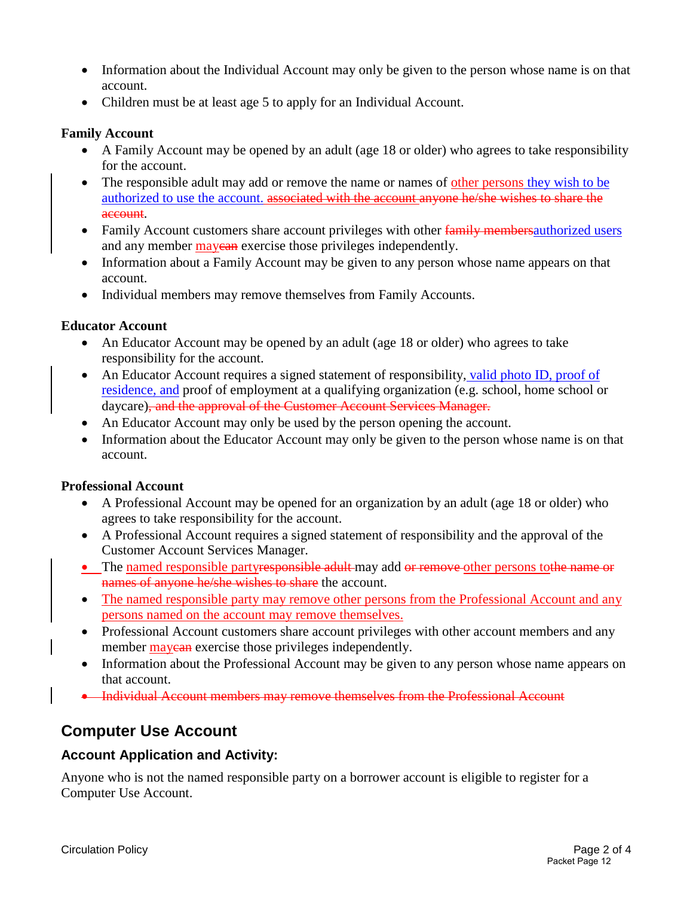- Information about the Individual Account may only be given to the person whose name is on that account.
- Children must be at least age 5 to apply for an Individual Account.

#### **Family Account**

- A Family Account may be opened by an adult (age 18 or older) who agrees to take responsibility for the account.
- The responsible adult may add or remove the name or names of other persons they wish to be authorized to use the account. associated with the account anyone he/she wishes to share the account.
- Family Account customers share account privileges with other family members authorized users and any member may can exercise those privileges independently.
- Information about a Family Account may be given to any person whose name appears on that account.
- Individual members may remove themselves from Family Accounts.

#### **Educator Account**

- An Educator Account may be opened by an adult (age 18 or older) who agrees to take responsibility for the account.
- An Educator Account requires a signed statement of responsibility, valid photo ID, proof of residence, and proof of employment at a qualifying organization (e.g. school, home school or daycare), and the approval of the Customer Account Services Manager.
- An Educator Account may only be used by the person opening the account.
- Information about the Educator Account may only be given to the person whose name is on that account.

#### **Professional Account**

- A Professional Account may be opened for an organization by an adult (age 18 or older) who agrees to take responsibility for the account.
- A Professional Account requires a signed statement of responsibility and the approval of the Customer Account Services Manager.
- The named responsible partyresponsible adult may add or remove other persons to the name or names of anyone he/she wishes to share the account.
- The named responsible party may remove other persons from the Professional Account and any persons named on the account may remove themselves.
- Professional Account customers share account privileges with other account members and any member **may exercise** those privileges independently.
- Information about the Professional Account may be given to any person whose name appears on that account.
- Individual Account members may remove themselves from the Professional Account

# **Computer Use Account**

### **Account Application and Activity:**

Anyone who is not the named responsible party on a borrower account is eligible to register for a Computer Use Account.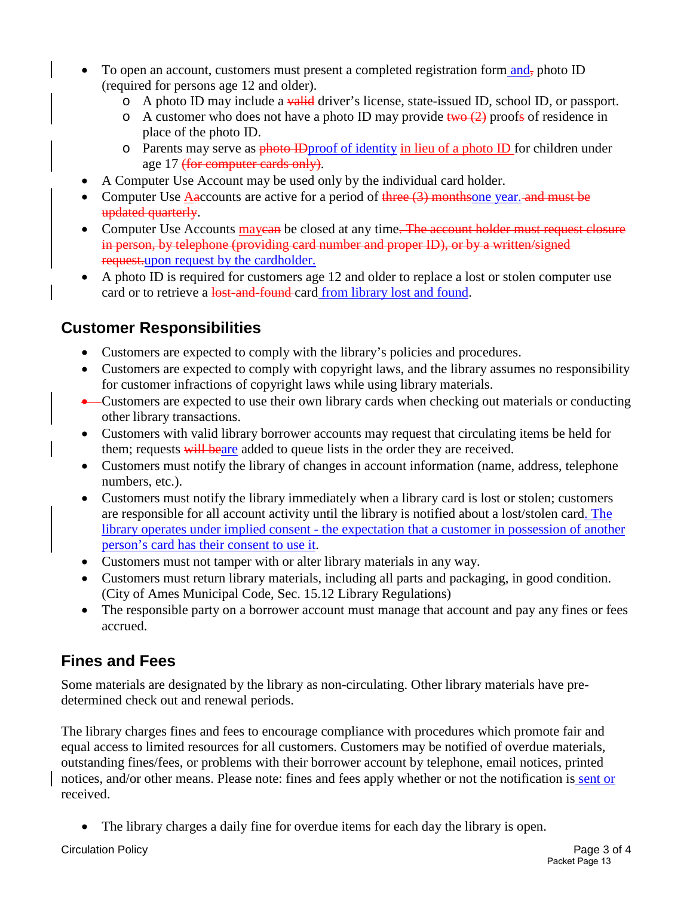- To open an account, customers must present a completed registration form  $\text{and}_{\tau}$  photo ID (required for persons age 12 and older).
	- $\circ$  A photo ID may include a valid driver's license, state-issued ID, school ID, or passport.
	- $\circ$  A customer who does not have a photo ID may provide two (2) proofs of residence in place of the photo ID.
	- o Parents may serve as photo ID proof of identity in lieu of a photo ID for children under age 17 (for computer cards only).
- A Computer Use Account may be used only by the individual card holder.
- Computer Use Aaccounts are active for a period of  $\frac{f}{f}$  and must be computer Use Aaccounts are active for a period of  $\frac{f}{f}$  and must be updated quarterly.
- Computer Use Accounts may earn be closed at any time. The account holder must request closure in person, by telephone (providing card number and proper ID), or by a written/signed request.upon request by the cardholder.
- A photo ID is required for customers age 12 and older to replace a lost or stolen computer use card or to retrieve a lost-and-found card from library lost and found.

# **Customer Responsibilities**

- Customers are expected to comply with the library's policies and procedures.
- Customers are expected to comply with copyright laws, and the library assumes no responsibility for customer infractions of copyright laws while using library materials.
- Customers are expected to use their own library cards when checking out materials or conducting other library transactions.
- Customers with valid library borrower accounts may request that circulating items be held for them; requests will beare added to queue lists in the order they are received.
- Customers must notify the library of changes in account information (name, address, telephone numbers, etc.).
- Customers must notify the library immediately when a library card is lost or stolen; customers are responsible for all account activity until the library is notified about a lost/stolen card. The library operates under implied consent - the expectation that a customer in possession of another person's card has their consent to use it.
- Customers must not tamper with or alter library materials in any way.
- Customers must return library materials, including all parts and packaging, in good condition. [\(City of Ames Municipal Code, Sec. 15.12 Library Regulations\)](http://38.106.5.41/modules/showdocument.aspx?documentid=270)
- The responsible party on a borrower account must manage that account and pay any fines or fees accrued.

# **Fines and Fees**

Some materials are designated by the library as non-circulating. Other library materials have predetermined check out and renewal periods.

The library charges fines and fees to encourage compliance with procedures which promote fair and equal access to limited resources for all customers. Customers may be notified of overdue materials, outstanding fines/fees, or problems with their borrower account by telephone, email notices, printed notices, and/or other means. Please note: fines and fees apply whether or not the notification is sent or received.

The library charges a daily fine for overdue items for each day the library is open.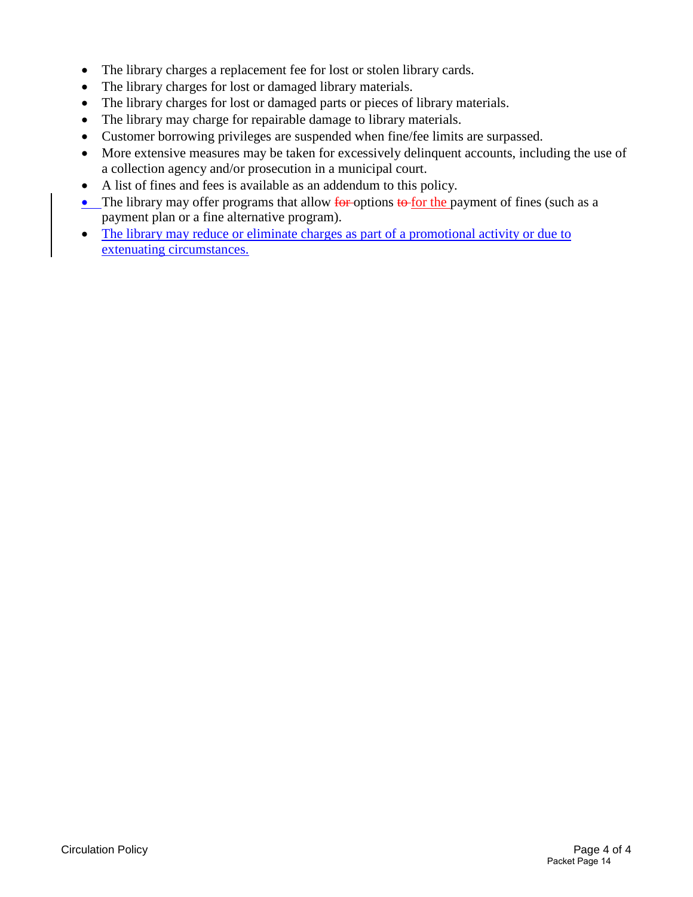- The library charges a replacement fee for lost or stolen library cards.
- The library charges for lost or damaged library materials.
- The library charges for lost or damaged parts or pieces of library materials.
- The library may charge for repairable damage to library materials.
- Customer borrowing privileges are suspended when fine/fee limits are surpassed.
- More extensive measures may be taken for excessively delinquent accounts, including the use of a collection agency and/or prosecution in a municipal court.
- A list of fines and fees is available as an addendum to this policy.
- The library may offer programs that allow  $\frac{1}{\pi}$  for the payment of fines (such as a payment plan or a fine alternative program).
- The library may reduce or eliminate charges as part of a promotional activity or due to extenuating circumstances.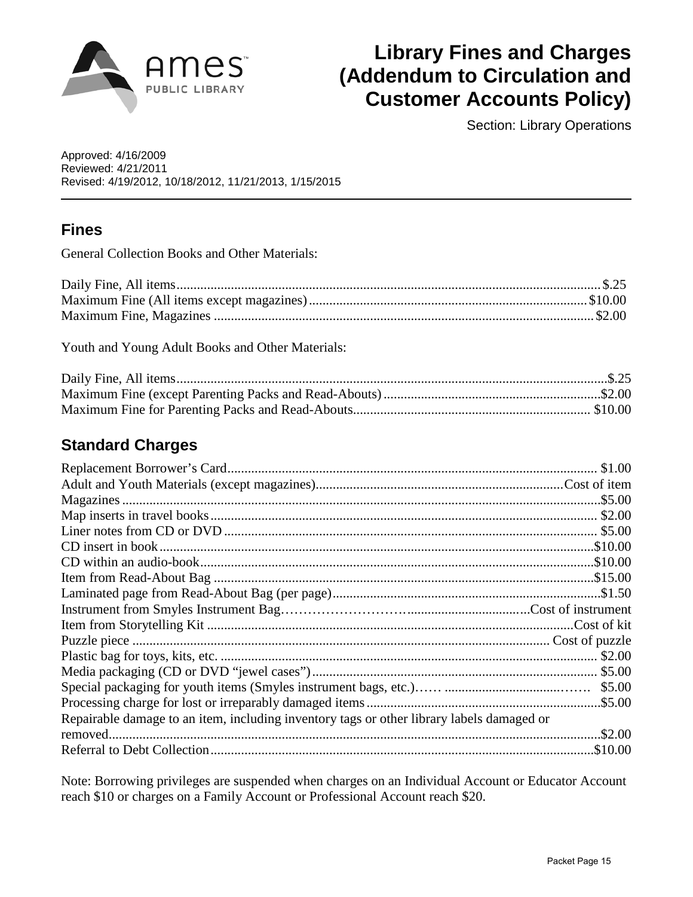

# **Library Fines and Charges (Addendum to Circulation and Customer Accounts Policy)**

Section: Library Operations

Approved: 4/16/2009 Reviewed: 4/21/2011 Revised: 4/19/2012, 10/18/2012, 11/21/2013, 1/15/2015

# **Fines**

General Collection Books and Other Materials:

Youth and Young Adult Books and Other Materials:

# **Standard Charges**

|                                                                                           | .\$5.00 |
|-------------------------------------------------------------------------------------------|---------|
| Repairable damage to an item, including inventory tags or other library labels damaged or |         |
|                                                                                           | .\$2.00 |
|                                                                                           |         |

Note: Borrowing privileges are suspended when charges on an Individual Account or Educator Account reach \$10 or charges on a Family Account or Professional Account reach \$20.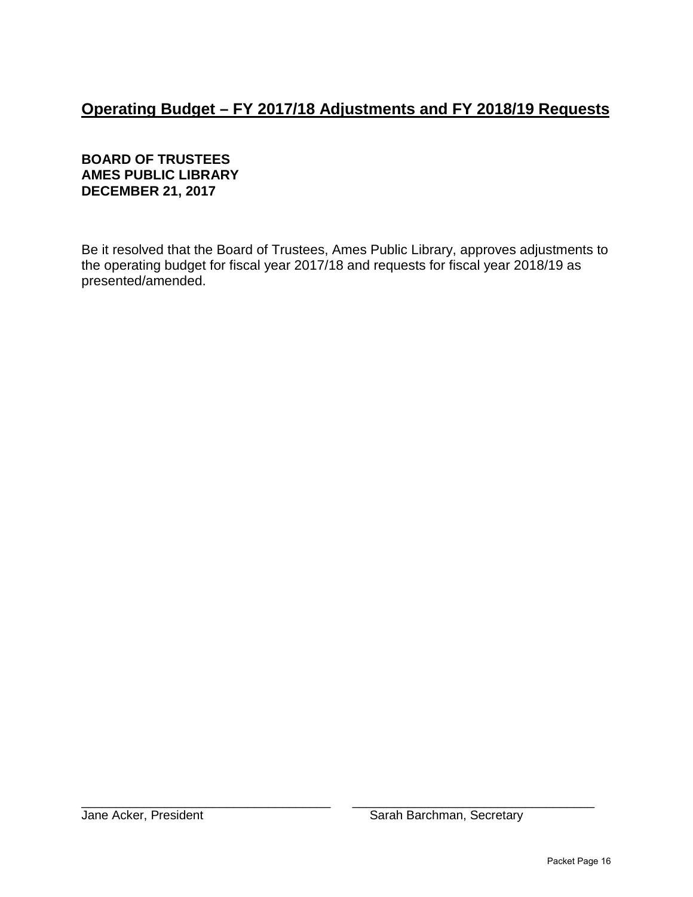# **Operating Budget – FY 2017/18 Adjustments and FY 2018/19 Requests**

## **BOARD OF TRUSTEES AMES PUBLIC LIBRARY DECEMBER 21, 2017**

Be it resolved that the Board of Trustees, Ames Public Library, approves adjustments to the operating budget for fiscal year 2017/18 and requests for fiscal year 2018/19 as presented/amended.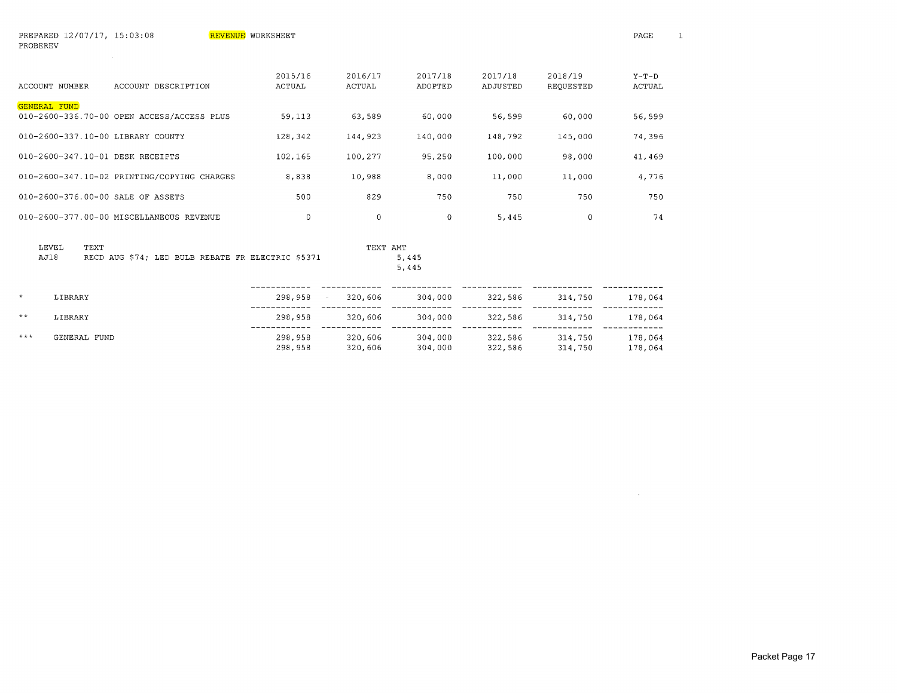| PROBEREV            |              |                                                   |                          |                          |                    |                     |                      |                          |
|---------------------|--------------|---------------------------------------------------|--------------------------|--------------------------|--------------------|---------------------|----------------------|--------------------------|
| ACCOUNT NUMBER      |              | ACCOUNT DESCRIPTION                               | 2015/16<br><b>ACTUAL</b> | 2016/17<br><b>ACTUAL</b> | 2017/18<br>ADOPTED | 2017/18<br>ADJUSTED | 2018/19<br>REQUESTED | $Y-T-D$<br><b>ACTUAL</b> |
| <b>GENERAL FUND</b> |              | 010-2600-336.70-00 OPEN ACCESS/ACCESS PLUS        | 59,113                   | 63,589                   | 60,000             | 56,599              | 60,000               | 56,599                   |
|                     |              | 010-2600-337.10-00 LIBRARY COUNTY                 | 128,342                  | 144,923                  | 140,000            | 148,792             | 145,000              | 74,396                   |
|                     |              | 010-2600-347.10-01 DESK RECEIPTS                  | 102,165                  | 100,277                  | 95,250             | 100,000             | 98,000               | 41,469                   |
|                     |              | 010-2600-347.10-02 PRINTING/COPYING CHARGES       | 8,838                    | 10,988                   | 8,000              | 11,000              | 11,000               | 4,776                    |
|                     |              | 010-2600-376.00-00 SALE OF ASSETS                 | 500                      | 829                      | 750                | 750                 | 750                  | 750                      |
|                     |              | 010-2600-377.00-00 MISCELLANEOUS REVENUE          | $\Omega$                 | 0                        | $\Omega$           | 5,445               | 0                    | 74                       |
| LEVEL<br>AJ18       | TEXT         | RECD AUG \$74; LED BULB REBATE FR ELECTRIC \$5371 |                          | TEXT AMT                 | 5,445<br>5,445     |                     |                      |                          |
| $\star$             | LIBRARY      |                                                   | 298,958                  | 320,606                  | 304,000            | 322,586             | 314,750              | 178,064                  |
| $***$               | LIBRARY      |                                                   | 298,958                  | 320,606                  | 304,000            | 322,586             | 314,750              | 178,064                  |
| $* * *$             | GENERAL FUND |                                                   | 298,958<br>298,958       | 320,606<br>320,606       | 304,000<br>304,000 | 322,586<br>322,586  | 314,750<br>314,750   | 178,064<br>178,064       |

 $\sim 10^7$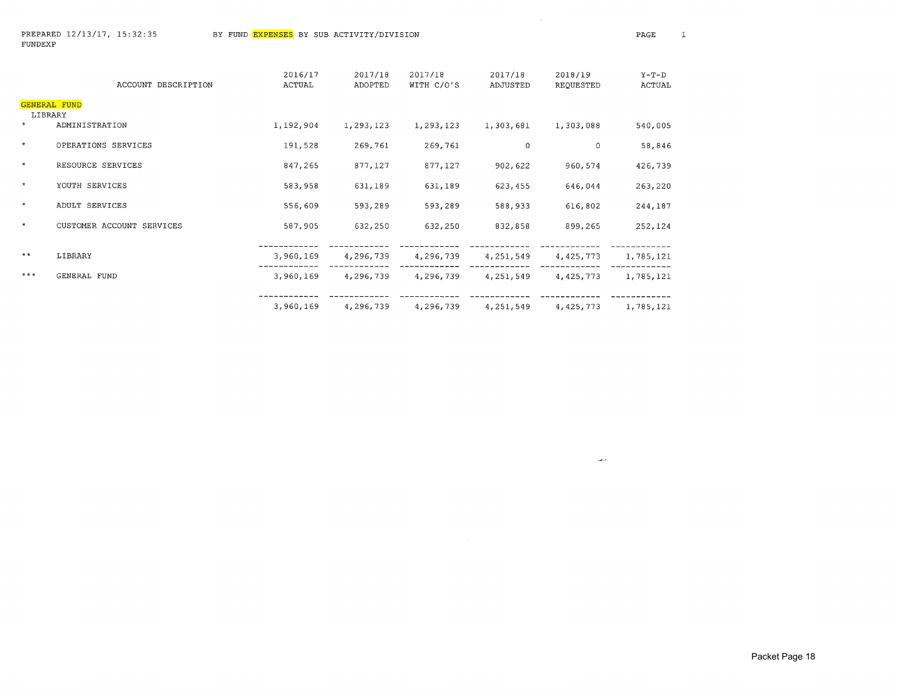$\sim$ 

|         | ACCOUNT DESCRIPTION       | 2016/17<br>ACTUAL | 2017/18<br>ADOPTED | 2017/18<br>WITH C/O'S | 2017/18<br>ADJUSTED | 2018/19<br>REQUESTED | $Y-T-D$<br>ACTUAL |
|---------|---------------------------|-------------------|--------------------|-----------------------|---------------------|----------------------|-------------------|
|         | GENERAL FUND              |                   |                    |                       |                     |                      |                   |
| $\star$ | LIBRARY<br>ADMINISTRATION | 1,192,904         | 1,293,123          | 1,293,123             | 1,303,681           | 1,303,088            | 540,005           |
| $\star$ | OPERATIONS SERVICES       | 191,528           | 269,761            | 269,761               | 0                   | 0                    | 58,846            |
| $\star$ | RESOURCE SERVICES         | 847,265           | 877,127            | 877,127               | 902,622             | 960,574              | 426,739           |
| $\star$ | YOUTH SERVICES            | 583,958           | 631,189            | 631,189               | 623,455             | 646,044              | 263,220           |
| $\star$ | ADULT SERVICES            | 556,609           | 593,289            | 593,289               | 588,933             | 616,802              | 244,187           |
| $\star$ | CUSTOMER ACCOUNT SERVICES | 587,905           | 632,250            | 632,250               | 832,858             | 899,265              | 252,124           |
| $***$   | LIBRARY                   | 3,960,169         | 4,296,739          | 4,296,739             | 4,251,549           | 4,425,773            | 1,785,121         |
| $***$   | GENERAL FUND              | 3,960,169         | 4,296,739          | 4,296,739             | 4,251,549           | 4,425,773            | 1,785,121         |
|         |                           | 3,960,169         | 4,296,739          | 4,296,739             | 4,251,549           | 4,425,773            | 1,785,121         |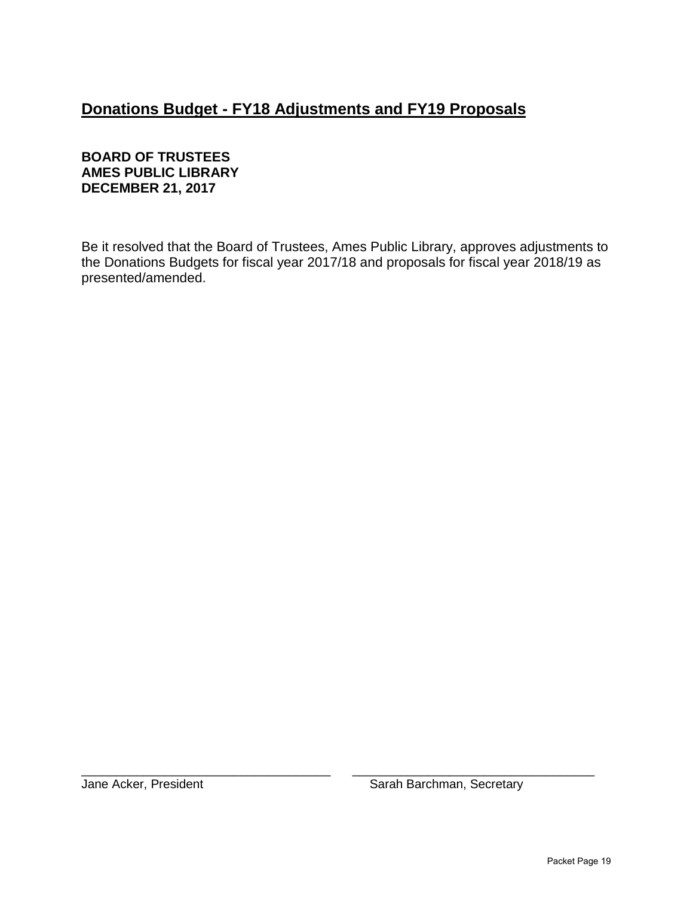# **Donations Budget - FY18 Adjustments and FY19 Proposals**

## **BOARD OF TRUSTEES AMES PUBLIC LIBRARY DECEMBER 21, 2017**

Be it resolved that the Board of Trustees, Ames Public Library, approves adjustments to the Donations Budgets for fiscal year 2017/18 and proposals for fiscal year 2018/19 as presented/amended.

\_\_\_\_\_\_\_\_\_\_\_\_\_\_\_\_\_\_\_\_\_\_\_\_\_\_\_\_\_\_\_\_\_\_\_\_ \_\_\_\_\_\_\_\_\_\_\_\_\_\_\_\_\_\_\_\_\_\_\_\_\_\_\_\_\_\_\_\_\_\_\_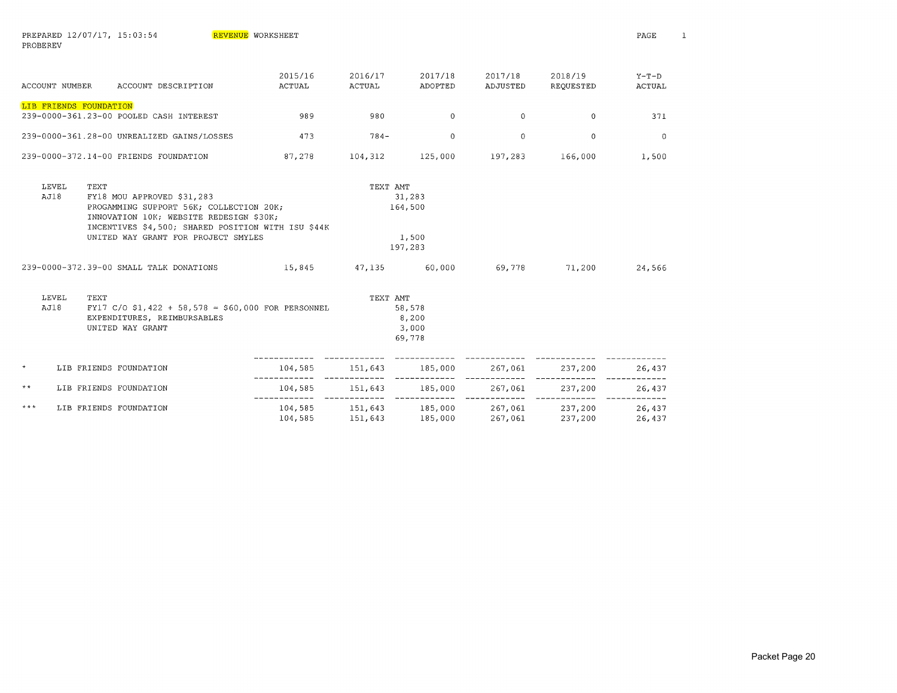| PROBEREV              |                                                                                                                                                                                                                       |                          |                         |                                       |                         |                      |                   |
|-----------------------|-----------------------------------------------------------------------------------------------------------------------------------------------------------------------------------------------------------------------|--------------------------|-------------------------|---------------------------------------|-------------------------|----------------------|-------------------|
| <b>ACCOUNT NUMBER</b> | ACCOUNT DESCRIPTION                                                                                                                                                                                                   | 2015/16<br><b>ACTUAL</b> | 2016/17<br>ACTUAL       | 2017/18<br>ADOPTED                    | 2017/18<br>ADJUSTED     | 2018/19<br>REQUESTED | $Y-T-D$<br>ACTUAL |
|                       | LIB FRIENDS FOUNDATION<br>239-0000-361.23-00 POOLED CASH INTEREST                                                                                                                                                     | 989                      | 980                     | $\Omega$                              | $\overline{0}$          | $\Omega$             | 371               |
|                       | 239-0000-361.28-00 UNREALIZED GAINS/LOSSES                                                                                                                                                                            | 473                      | $784 -$                 | $\Omega$                              | $\Omega$                | $\Omega$             | $\overline{0}$    |
|                       | 239-0000-372.14-00 FRIENDS FOUNDATION                                                                                                                                                                                 | 87,278                   | 104,312                 | 125,000                               | 197,283                 | 166,000              | 1,500             |
| LEVEL<br>AJ18         | TEXT<br>FY18 MOU APPROVED \$31,283<br>PROGAMMING SUPPORT 56K; COLLECTION 20K;<br>INNOVATION 10K; WEBSITE REDESIGN \$30K;<br>INCENTIVES \$4,500; SHARED POSITION WITH ISU \$44K<br>UNITED WAY GRANT FOR PROJECT SMYLES |                          | TEXT AMT                | 31,283<br>164,500<br>1,500<br>197,283 |                         |                      |                   |
|                       | 239-0000-372.39-00 SMALL TALK DONATIONS                                                                                                                                                                               | 15,845                   | 47,135                  | 60,000                                | 69,778                  | 71,200               | 24,566            |
| LEVEL<br>AJ18         | TEXT<br>FY17 C/O \$1,422 + 58,578 = \$60,000 FOR PERSONNEL<br>EXPENDITURES, REIMBURSABLES<br>UNITED WAY GRANT                                                                                                         |                          | TEXT AMT                | 58,578<br>8,200<br>3,000<br>69,778    |                         |                      |                   |
| $\star$               | LIB FRIENDS FOUNDATION                                                                                                                                                                                                | 104,585                  | 151,643                 | 185,000                               | 267,061                 | 237,200              | 26,437            |
| $\star$ $\star$       | LIB FRIENDS FOUNDATION                                                                                                                                                                                                | 104,585<br>------------- | 151,643<br>------------ | 185,000<br>-------------              | 267,061<br>------------ | 237,200              | 26,437            |
| ***                   | LIB FRIENDS FOUNDATION                                                                                                                                                                                                | 104,585                  | 151,643                 | 104,585 151,643 185,000<br>185,000    | 267,061<br>267,061      | 237,200<br>237,200   | 26,437<br>26,437  |

REVENUE WORKSHEET

PREPARED 12/07/17, 15:03:54

PAGE

1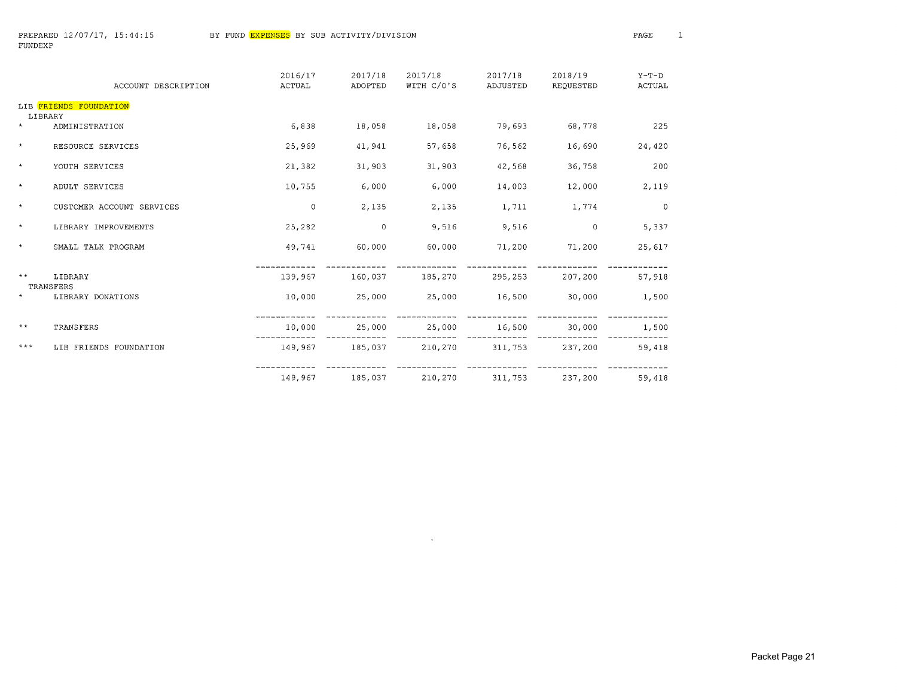|                 | ACCOUNT DESCRIPTION       | 2016/17<br><b>ACTUAL</b> | 2017/18<br>ADOPTED | 2017/18<br>WITH C/O'S | 2017/18<br>ADJUSTED | 2018/19<br>REQUESTED | $Y-T-D$<br>ACTUAL |
|-----------------|---------------------------|--------------------------|--------------------|-----------------------|---------------------|----------------------|-------------------|
| LIBRARY         | LIB FRIENDS FOUNDATION    |                          |                    |                       |                     |                      |                   |
| $\star$         | ADMINISTRATION            | 6,838                    | 18,058             | 18,058                | 79,693              | 68,778               | 225               |
| $\star$         | RESOURCE SERVICES         | 25,969                   | 41,941             | 57,658                | 76,562              | 16,690               | 24,420            |
| $\star$         | YOUTH SERVICES            | 21,382                   | 31,903             | 31,903                | 42,568              | 36,758               | 200               |
| $\star$         | ADULT SERVICES            | 10,755                   | 6,000              | 6,000                 | 14,003              | 12,000               | 2,119             |
| $\star$         | CUSTOMER ACCOUNT SERVICES | $\mathbf{0}$             | 2,135              | 2,135                 | 1,711               | 1,774                | $\overline{0}$    |
| $\star$         | LIBRARY IMPROVEMENTS      | 25,282                   | $\overline{0}$     | 9,516                 | 9,516               | $\mathbf{0}$         | 5,337             |
| $\star$         | SMALL TALK PROGRAM        | 49,741                   | 60,000             | 60,000                | 71,200              | 71,200               | 25,617            |
| $\star$ $\star$ | LIBRARY<br>TRANSFERS      | 139,967                  | 160,037            | 185,270               | 295,253             | 207,200              | 57,918            |
| $\star$         | LIBRARY DONATIONS         | 10,000                   | 25,000             | 25,000                | 16,500              | 30,000               | 1,500             |
| $**$            | TRANSFERS                 | 10,000                   | 25,000             | 25,000                | 16,500              | 30,000               | 1,500             |
| $***$           | LIB FRIENDS FOUNDATION    | 149,967                  |                    | 185,037 210,270       | 311,753             | 237,200              | 59,418            |
|                 |                           | 149,967                  | 185,037            | 210,270               | 311,753             | 237,200              | 59,418            |

 $\sim 10^7$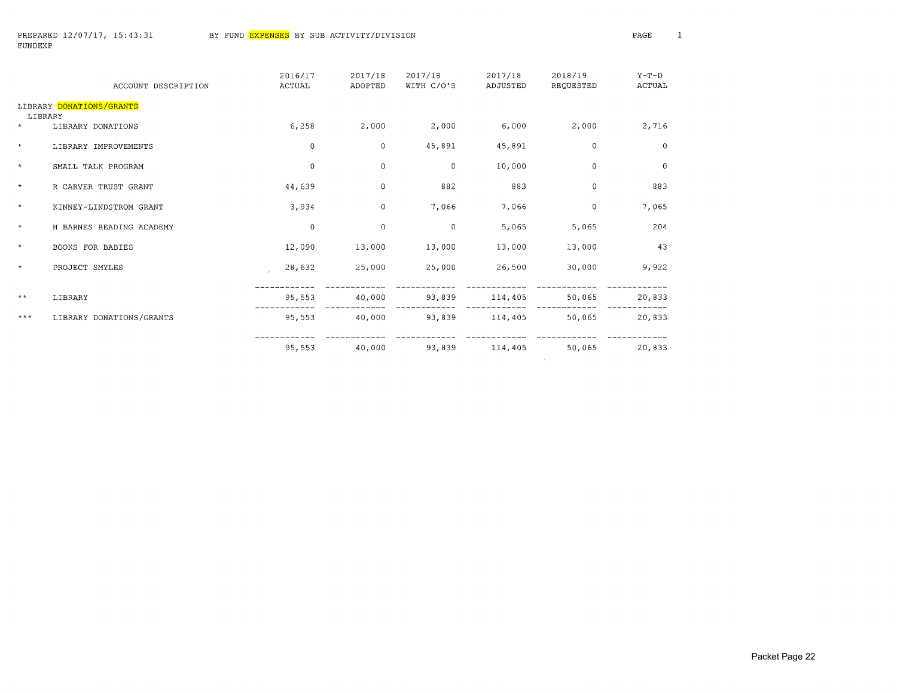$\sim 10^{11}$  km s  $^{-1}$ 

|              | ACCOUNT DESCRIPTION      | 2016/17<br>ACTUAL | 2017/18<br>ADOPTED | 2017/18<br>WITH C/O'S | 2017/18<br>ADJUSTED | 2018/19<br>REQUESTED | $Y-T-D$<br><b>ACTUAL</b> |
|--------------|--------------------------|-------------------|--------------------|-----------------------|---------------------|----------------------|--------------------------|
| LIBRARY      | LIBRARY DONATIONS/GRANTS |                   |                    |                       |                     |                      |                          |
| $\star$      | LIBRARY DONATIONS        | 6,258             | 2,000              | 2,000                 | 6,000               | 2,000                | 2,716                    |
| $\star$      | LIBRARY IMPROVEMENTS     | $\mathbf 0$       | $\mathbf 0$        | 45,891                | 45,891              | 0                    | $\overline{0}$           |
| $\star$      | SMALL TALK PROGRAM       | $\Omega$          | $\mathbf 0$        | $\overline{0}$        | 10,000              | 0                    | $\mathbf{0}$             |
| $\star$      | R CARVER TRUST GRANT     | 44,639            | $\mathbf 0$        | 882                   | 883                 | $\Omega$             | 883                      |
| $\star$      | KINNEY-LINDSTROM GRANT   | 3,934             | $\mathbf 0$        | 7,066                 | 7,066               | $\mathbf 0$          | 7,065                    |
| $\star$      | H BARNES READING ACADEMY | $\Omega$          | $\Omega$           | $\Omega$              | 5,065               | 5,065                | 204                      |
| $\star$      | BOOKS FOR BABIES         | 12,090            | 13,000             | 13,000                | 13,000              | 13,000               | 43                       |
| $\star$      | PROJECT SMYLES           | 28,632            | 25,000             | 25,000                | 26,500              | 30,000               | 9,922                    |
| $\star\star$ | LIBRARY                  | 95,553            | 40,000             | 93,839                | 114,405             | 50,065               | 20,833                   |
| $***$        | LIBRARY DONATIONS/GRANTS | 95,553            | 40,000             | 93,839                | 114,405             | 50,065               | 20,833                   |
|              |                          | 95,553            | 40,000             | 93,839                | 114,405             | 50,065               | 20,833                   |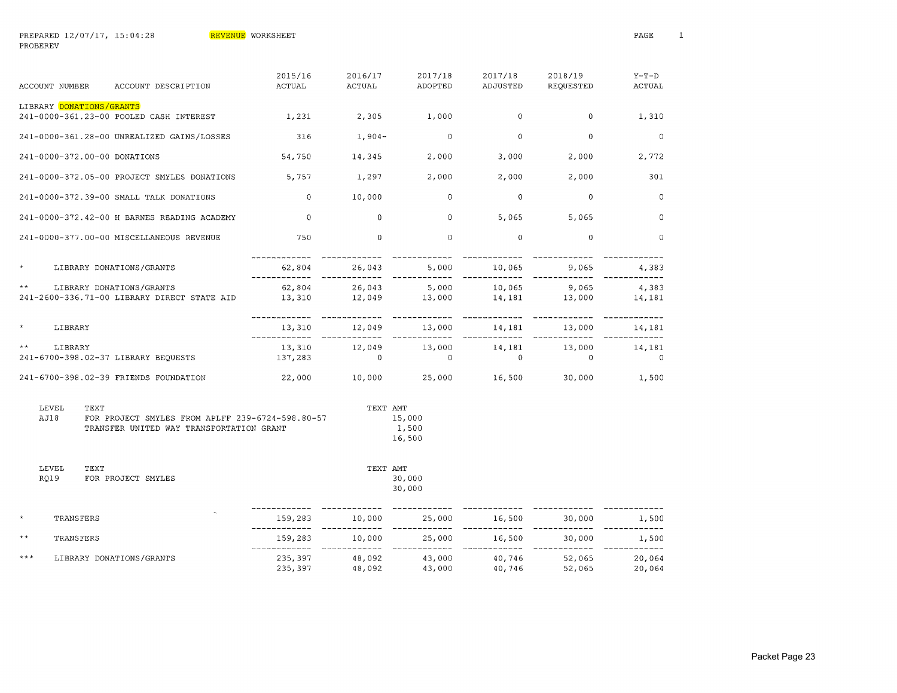| <b>ACCOUNT NUMBER</b>        | ACCOUNT DESCRIPTION                                                     | 2015/16<br><b>ACTUAL</b> | 2016/17<br><b>ACTUAL</b> | 2017/18<br>ADOPTED | 2017/18<br>ADJUSTED       | 2018/19<br>REQUESTED | $Y-T-D$<br><b>ACTUAL</b> |
|------------------------------|-------------------------------------------------------------------------|--------------------------|--------------------------|--------------------|---------------------------|----------------------|--------------------------|
| LIBRARY DONATIONS/GRANTS     | 241-0000-361.23-00 POOLED CASH INTEREST                                 | 1,231                    | 2,305                    | 1,000              | $\mathbf 0$               | $\overline{0}$       | 1,310                    |
|                              | 241-0000-361.28-00 UNREALIZED GAINS/LOSSES                              | 316                      | $1,904-$                 | $\Omega$           | $\mathbf 0$               | $\mathbf{0}$         | $\mathbf 0$              |
| 241-0000-372.00-00 DONATIONS |                                                                         | 54,750                   | 14,345                   | 2,000              | 3,000                     | 2,000                | 2,772                    |
|                              | 241-0000-372.05-00 PROJECT SMYLES DONATIONS                             | 5,757                    | 1,297                    | 2,000              | 2,000                     | 2,000                | 301                      |
|                              | 241-0000-372.39-00 SMALL TALK DONATIONS                                 | $\circ$                  | 10,000                   | $\mathbf 0$        | $\Omega$                  | $\mathbf{0}$         | $\mathbf 0$              |
|                              | 241-0000-372.42-00 H BARNES READING ACADEMY                             | $\circ$                  | $\overline{0}$           | $\mathbf 0$        | 5,065                     | 5,065                | $\mathbf 0$              |
|                              | 241-0000-377.00-00 MISCELLANEOUS REVENUE                                | 750                      | $\mathbf 0$              | $\mathbf{0}$       | $\mathbf 0$               | $\mathbf{0}$         | $\mathbf 0$              |
| $\star$                      | LIBRARY DONATIONS/GRANTS                                                | 62,804                   | 26,043                   | 5,000              | 10,065<br>$- - - - - - -$ | 9,065                | 4,383                    |
| $\star$ $\star$              | LIBRARY DONATIONS/GRANTS<br>241-2600-336.71-00 LIBRARY DIRECT STATE AID | 62,804<br>13,310         | 26,043<br>12,049         | 5,000<br>13,000    | 10,065<br>14,181          | 9,065<br>13,000      | 4,383<br>14,181          |
| $\star$<br>LIBRARY           |                                                                         | 13,310                   | 12,049                   | 13,000             | 14,181                    | 13,000               | 14,181                   |
| $\star$ $\star$<br>LIBRARY   | 241-6700-398.02-37 LIBRARY BEOUESTS                                     | 13,310<br>137,283        | 12,049<br>$\Omega$       | 13,000<br>$\Omega$ | 14,181<br>$\Omega$        | 13,000<br>$\Omega$   | 14,181<br>$\Omega$       |
|                              | 241-6700-398.02-39 FRIENDS FOUNDATION                                   | 22,000                   | 10,000                   | 25,000             | 16,500                    | 30,000               | 1,500                    |

| LEVEL.<br><b>TEXT</b> |                                                  | TEXT AMT |
|-----------------------|--------------------------------------------------|----------|
| A TIR                 | FOR PROJECT SMYLES FROM APLFF 239-6724-598.80-57 | 15,000   |
|                       | TRANSFER UNITED WAY TRANSPORTATION GRANT         | 1,500    |
|                       |                                                  | 16,500   |

| LEVEL | TEXT               | TEXT AMT |        |
|-------|--------------------|----------|--------|
| RO19  | FOR PROJECT SMYLES |          | 30,000 |
|       |                    |          | 30,000 |

| $\star$ | TRANSFERS                | 159,283            | 10,000           | 25,000           | 16,500           | 30,000           | 1,500            |
|---------|--------------------------|--------------------|------------------|------------------|------------------|------------------|------------------|
| **      | TRANSFERS                | 159,283            | 10,000           | 25,000           | 16,500           | 30,000           | 1,500            |
| ***     | LIBRARY DONATIONS/GRANTS | 235,397<br>235,397 | 48.092<br>48,092 | 43,000<br>43,000 | 40,746<br>40,746 | 52,065<br>52,065 | 20,064<br>20,064 |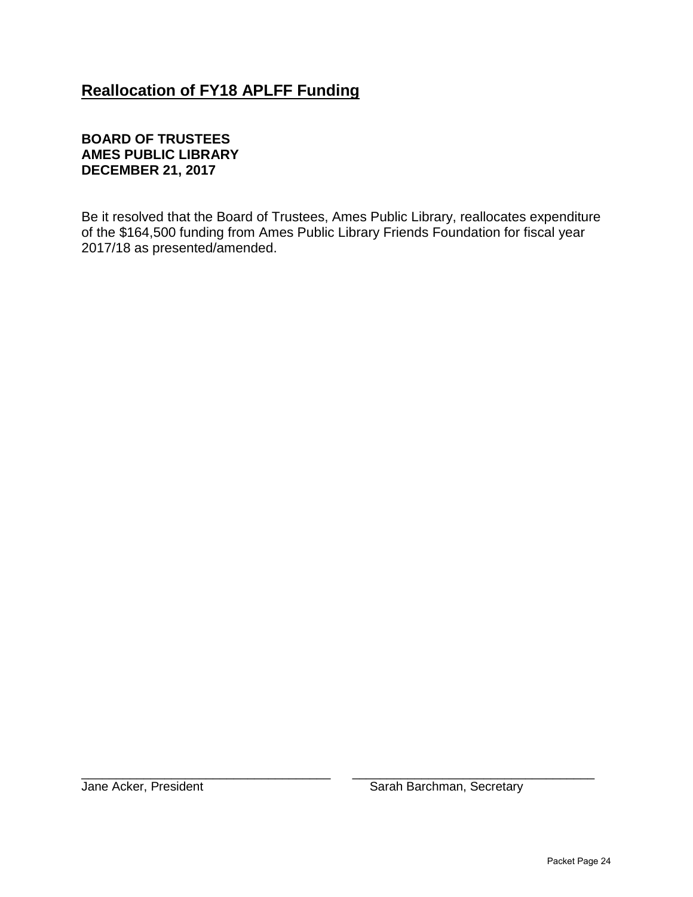# **Reallocation of FY18 APLFF Funding**

## **BOARD OF TRUSTEES AMES PUBLIC LIBRARY DECEMBER 21, 2017**

Be it resolved that the Board of Trustees, Ames Public Library, reallocates expenditure of the \$164,500 funding from Ames Public Library Friends Foundation for fiscal year 2017/18 as presented/amended.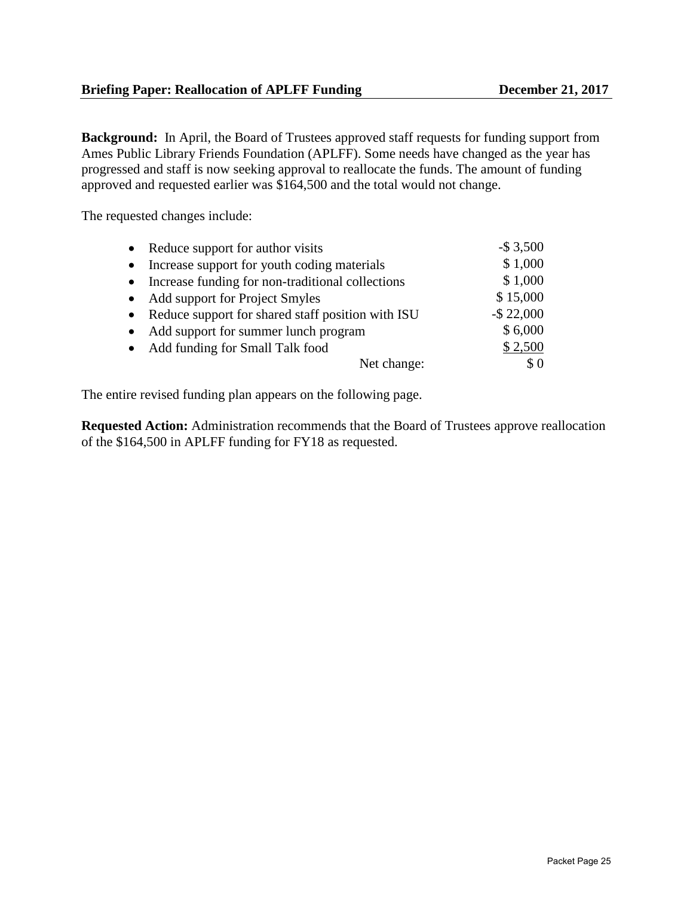**Background:** In April, the Board of Trustees approved staff requests for funding support from Ames Public Library Friends Foundation (APLFF). Some needs have changed as the year has progressed and staff is now seeking approval to reallocate the funds. The amount of funding approved and requested earlier was \$164,500 and the total would not change.

The requested changes include:

|           | • Reduce support for author visits                  | $-$ \$ 3,500  |
|-----------|-----------------------------------------------------|---------------|
| $\bullet$ | Increase support for youth coding materials         | \$1,000       |
| $\bullet$ | Increase funding for non-traditional collections    | \$1,000       |
|           | • Add support for Project Smyles                    | \$15,000      |
|           | • Reduce support for shared staff position with ISU | $-$ \$ 22,000 |
| $\bullet$ | Add support for summer lunch program                | \$6,000       |
|           | • Add funding for Small Talk food                   | \$2,500       |
|           | Net change:                                         | \$0           |

The entire revised funding plan appears on the following page.

**Requested Action:** Administration recommends that the Board of Trustees approve reallocation of the \$164,500 in APLFF funding for FY18 as requested.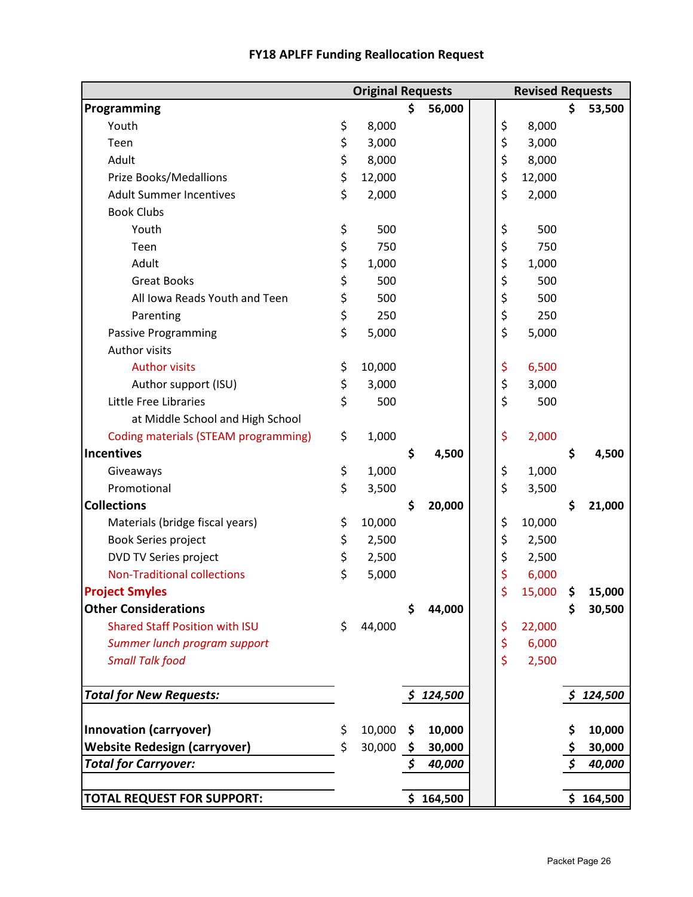|                                       | <b>Original Requests</b> |               |    | <b>Revised Requests</b> |    |           |
|---------------------------------------|--------------------------|---------------|----|-------------------------|----|-----------|
| Programming                           |                          | \$<br>56,000  |    |                         | Ś. | 53,500    |
| Youth                                 | \$<br>8,000              |               | \$ | 8,000                   |    |           |
| Teen                                  | \$<br>3,000              |               | \$ | 3,000                   |    |           |
| Adult                                 | \$<br>8,000              |               | \$ | 8,000                   |    |           |
| Prize Books/Medallions                | \$<br>12,000             |               | \$ | 12,000                  |    |           |
| <b>Adult Summer Incentives</b>        | \$<br>2,000              |               | \$ | 2,000                   |    |           |
| <b>Book Clubs</b>                     |                          |               |    |                         |    |           |
| Youth                                 | \$<br>500                |               | \$ | 500                     |    |           |
| Teen                                  | \$<br>750                |               | \$ | 750                     |    |           |
| Adult                                 | \$<br>1,000              |               | \$ | 1,000                   |    |           |
| <b>Great Books</b>                    | \$<br>500                |               | \$ | 500                     |    |           |
| All Iowa Reads Youth and Teen         | \$<br>500                |               | \$ | 500                     |    |           |
| Parenting                             | \$<br>250                |               | \$ | 250                     |    |           |
| <b>Passive Programming</b>            | \$<br>5,000              |               | \$ | 5,000                   |    |           |
| <b>Author visits</b>                  |                          |               |    |                         |    |           |
| <b>Author visits</b>                  | \$<br>10,000             |               | \$ | 6,500                   |    |           |
| Author support (ISU)                  | \$<br>3,000              |               | \$ | 3,000                   |    |           |
| Little Free Libraries                 | \$<br>500                |               | \$ | 500                     |    |           |
| at Middle School and High School      |                          |               |    |                         |    |           |
| Coding materials (STEAM programming)  | \$<br>1,000              |               | \$ | 2,000                   |    |           |
| <b>Incentives</b>                     |                          | \$<br>4,500   |    |                         | \$ | 4,500     |
| Giveaways                             | \$<br>1,000              |               | \$ | 1,000                   |    |           |
| Promotional                           | \$<br>3,500              |               | \$ | 3,500                   |    |           |
| <b>Collections</b>                    |                          | \$<br>20,000  |    |                         | \$ | 21,000    |
| Materials (bridge fiscal years)       | \$<br>10,000             |               | \$ | 10,000                  |    |           |
| Book Series project                   | \$<br>2,500              |               | \$ | 2,500                   |    |           |
| DVD TV Series project                 | \$<br>2,500              |               | \$ | 2,500                   |    |           |
| <b>Non-Traditional collections</b>    | \$<br>5,000              |               | \$ | 6,000                   |    |           |
| <b>Project Smyles</b>                 |                          |               | \$ | 15,000                  | \$ | 15,000    |
| <b>Other Considerations</b>           |                          | \$<br>44,000  |    |                         |    | 30,500    |
| <b>Shared Staff Position with ISU</b> | \$<br>44,000             |               | \$ | 22,000                  |    |           |
| Summer lunch program support          |                          |               | \$ | 6,000                   |    |           |
| <b>Small Talk food</b>                |                          |               | \$ | 2,500                   |    |           |
| <b>Total for New Requests:</b>        |                          | \$124,500     |    |                         |    | \$124,500 |
| <b>Innovation (carryover)</b>         | \$<br>10,000             | \$<br>10,000  |    |                         | \$ | 10,000    |
| <b>Website Redesign (carryover)</b>   | \$<br>30,000             | \$<br>30,000  |    |                         |    | 30,000    |
| <b>Total for Carryover:</b>           |                          | \$<br>40,000  |    |                         |    | 40,000    |
| <b>TOTAL REQUEST FOR SUPPORT:</b>     |                          | \$<br>164,500 |    |                         |    | \$164,500 |

## **FY18 APLFF Funding Reallocation Request**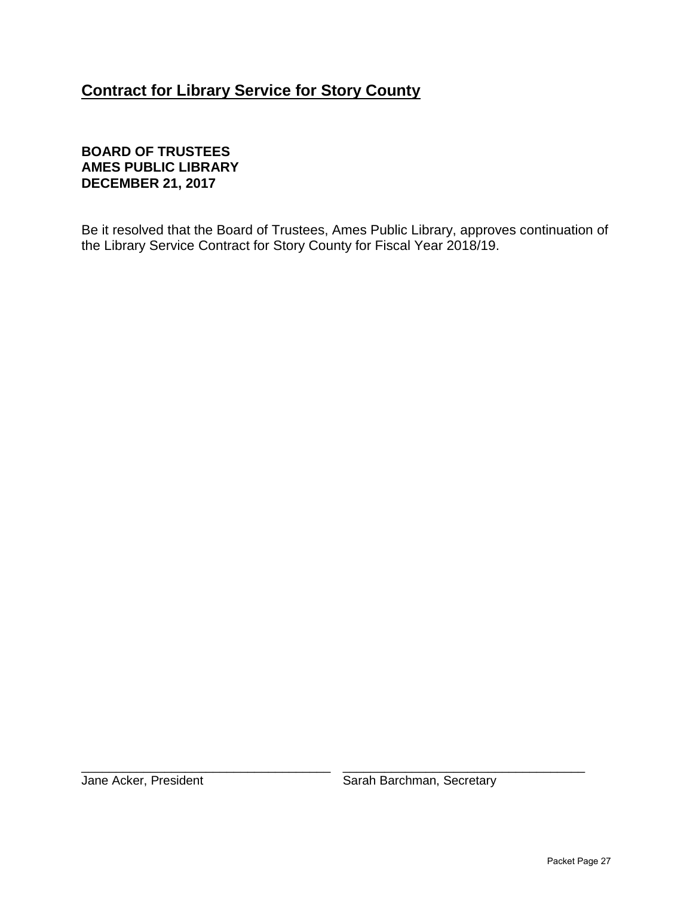# **Contract for Library Service for Story County**

## **BOARD OF TRUSTEES AMES PUBLIC LIBRARY DECEMBER 21, 2017**

Be it resolved that the Board of Trustees, Ames Public Library, approves continuation of the Library Service Contract for Story County for Fiscal Year 2018/19.

\_\_\_\_\_\_\_\_\_\_\_\_\_\_\_\_\_\_\_\_\_\_\_\_\_\_\_\_\_\_\_\_\_\_\_\_ \_\_\_\_\_\_\_\_\_\_\_\_\_\_\_\_\_\_\_\_\_\_\_\_\_\_\_\_\_\_\_\_\_\_\_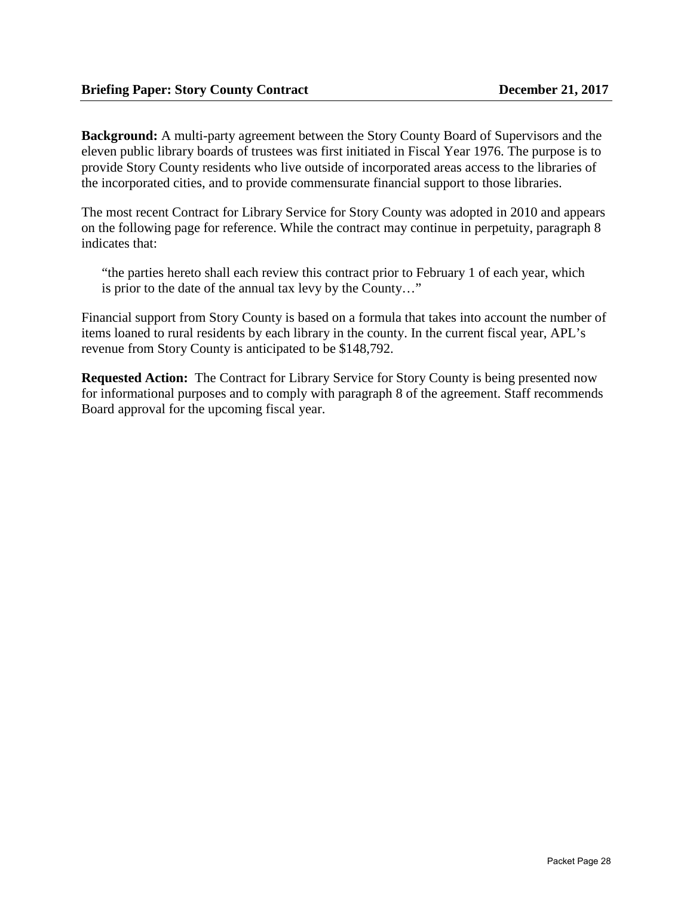**Background:** A multi-party agreement between the Story County Board of Supervisors and the eleven public library boards of trustees was first initiated in Fiscal Year 1976. The purpose is to provide Story County residents who live outside of incorporated areas access to the libraries of the incorporated cities, and to provide commensurate financial support to those libraries.

The most recent Contract for Library Service for Story County was adopted in 2010 and appears on the following page for reference. While the contract may continue in perpetuity, paragraph 8 indicates that:

"the parties hereto shall each review this contract prior to February 1 of each year, which is prior to the date of the annual tax levy by the County…"

Financial support from Story County is based on a formula that takes into account the number of items loaned to rural residents by each library in the county. In the current fiscal year, APL's revenue from Story County is anticipated to be \$148,792.

**Requested Action:** The Contract for Library Service for Story County is being presented now for informational purposes and to comply with paragraph 8 of the agreement. Staff recommends Board approval for the upcoming fiscal year.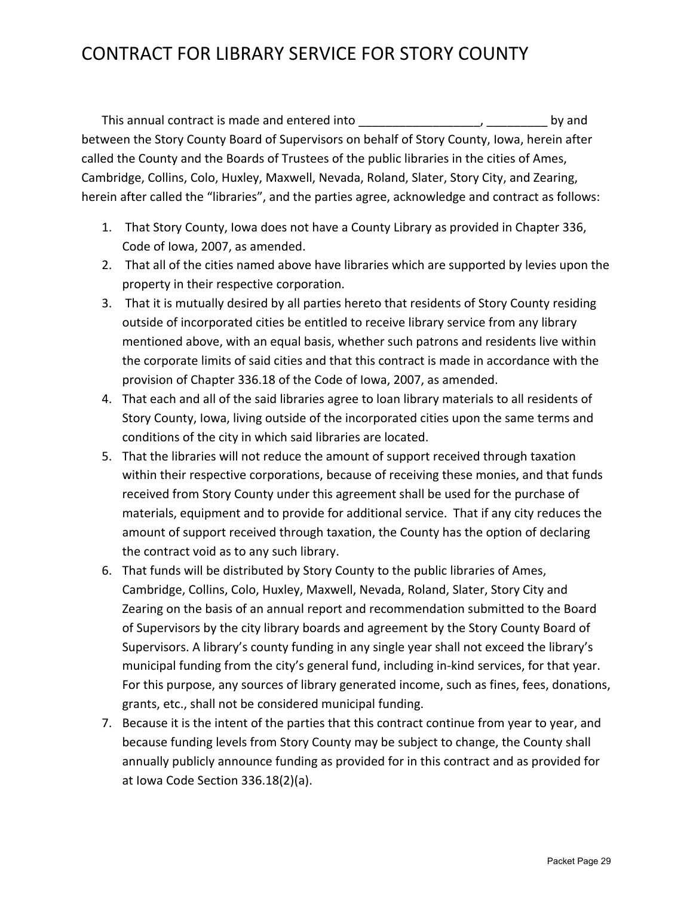# CONTRACT FOR LIBRARY SERVICE FOR STORY COUNTY

This annual contract is made and entered into the same of the set of the by and between the Story County Board of Supervisors on behalf of Story County, Iowa, herein after called the County and the Boards of Trustees of the public libraries in the cities of Ames, Cambridge, Collins, Colo, Huxley, Maxwell, Nevada, Roland, Slater, Story City, and Zearing, herein after called the "libraries", and the parties agree, acknowledge and contract as follows:

- 1. That Story County, Iowa does not have a County Library as provided in Chapter 336, Code of Iowa, 2007, as amended.
- 2. That all of the cities named above have libraries which are supported by levies upon the property in their respective corporation.
- 3. That it is mutually desired by all parties hereto that residents of Story County residing outside of incorporated cities be entitled to receive library service from any library mentioned above, with an equal basis, whether such patrons and residents live within the corporate limits of said cities and that this contract is made in accordance with the provision of Chapter 336.18 of the Code of Iowa, 2007, as amended.
- 4. That each and all of the said libraries agree to loan library materials to all residents of Story County, Iowa, living outside of the incorporated cities upon the same terms and conditions of the city in which said libraries are located.
- 5. That the libraries will not reduce the amount of support received through taxation within their respective corporations, because of receiving these monies, and that funds received from Story County under this agreement shall be used for the purchase of materials, equipment and to provide for additional service. That if any city reduces the amount of support received through taxation, the County has the option of declaring the contract void as to any such library.
- 6. That funds will be distributed by Story County to the public libraries of Ames, Cambridge, Collins, Colo, Huxley, Maxwell, Nevada, Roland, Slater, Story City and Zearing on the basis of an annual report and recommendation submitted to the Board of Supervisors by the city library boards and agreement by the Story County Board of Supervisors. A library's county funding in any single year shall not exceed the library's municipal funding from the city's general fund, including in‐kind services, for that year. For this purpose, any sources of library generated income, such as fines, fees, donations, grants, etc., shall not be considered municipal funding.
- 7. Because it is the intent of the parties that this contract continue from year to year, and because funding levels from Story County may be subject to change, the County shall annually publicly announce funding as provided for in this contract and as provided for at Iowa Code Section 336.18(2)(a).